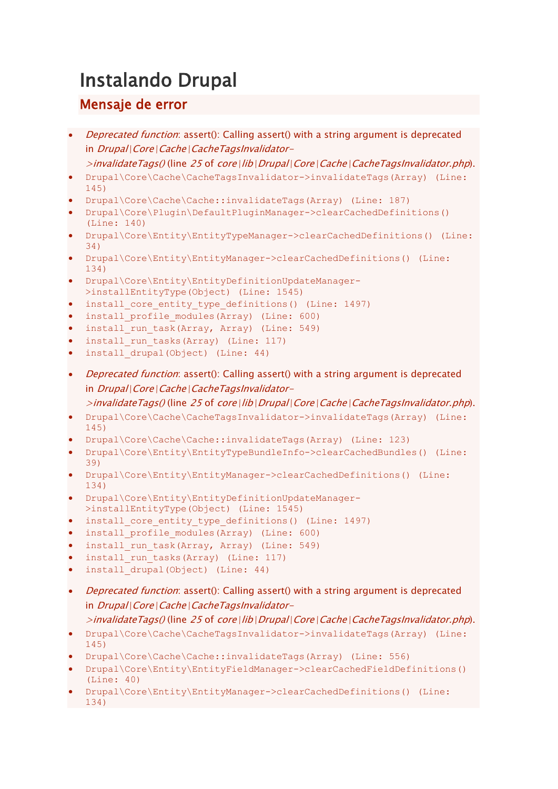# Instalando Drupal

## Mensaje de error

- Deprecated function: assert(): Calling assert() with a string argument is deprecated in Drupal\Core\Cache\CacheTagsInvalidator-
- $\ge$ invalidateTags() (line 25 of core\lib\Drupal\Core\Cache\CacheTagsInvalidator.php).
- Drupal\Core\Cache\CacheTagsInvalidator->invalidateTags(Array) (Line: 145)
- Drupal\Core\Cache\Cache::invalidateTags(Array) (Line: 187)
- Drupal\Core\Plugin\DefaultPluginManager->clearCachedDefinitions() (Line: 140)
- Drupal\Core\Entity\EntityTypeManager->clearCachedDefinitions() (Line: 34)
- Drupal\Core\Entity\EntityManager->clearCachedDefinitions() (Line: 134)
- Drupal\Core\Entity\EntityDefinitionUpdateManager- >installEntityType(Object) (Line: 1545)
- install core entity type definitions() (Line: 1497)
- install profile modules(Array) (Line: 600)
- install run task(Array, Array) (Line: 549)
- install run tasks(Array) (Line: 117)
- install drupal(Object) (Line: 44)
- *Deprecated function*: assert(): Calling assert() with a string argument is deprecated in Drupal\Core\Cache\CacheTagsInvalidator-

 $\ge$ invalidateTags() (line 25 of core\lib\Drupal\Core\Cache\CacheTagsInvalidator.php).

- Drupal\Core\Cache\CacheTagsInvalidator->invalidateTags(Array) (Line: 145)
- Drupal\Core\Cache\Cache::invalidateTags(Array) (Line: 123)
- Drupal\Core\Entity\EntityTypeBundleInfo->clearCachedBundles() (Line: 39)
- Drupal\Core\Entity\EntityManager->clearCachedDefinitions() (Line: 134)
- Drupal\Core\Entity\EntityDefinitionUpdateManager- >installEntityType(Object) (Line: 1545)
- install core entity type definitions() (Line: 1497)
- install profile modules(Array) (Line: 600)
- install run task(Array, Array) (Line: 549)
- install run tasks(Array) (Line: 117)
- install drupal(Object) (Line: 44)
- *Deprecated function*: assert(): Calling assert() with a string argument is deprecated in Drupal\Core\Cache\CacheTagsInvalidator-

>invalidateTags() (line 25 of core\lib\Drupal\Core\Cache\CacheTagsInvalidator.php).

- Drupal\Core\Cache\CacheTagsInvalidator->invalidateTags(Array) (Line: 145)
- Drupal\Core\Cache\Cache::invalidateTags(Array) (Line: 556)
- Drupal\Core\Entity\EntityFieldManager->clearCachedFieldDefinitions() (Line: 40)
- Drupal\Core\Entity\EntityManager->clearCachedDefinitions() (Line: 134)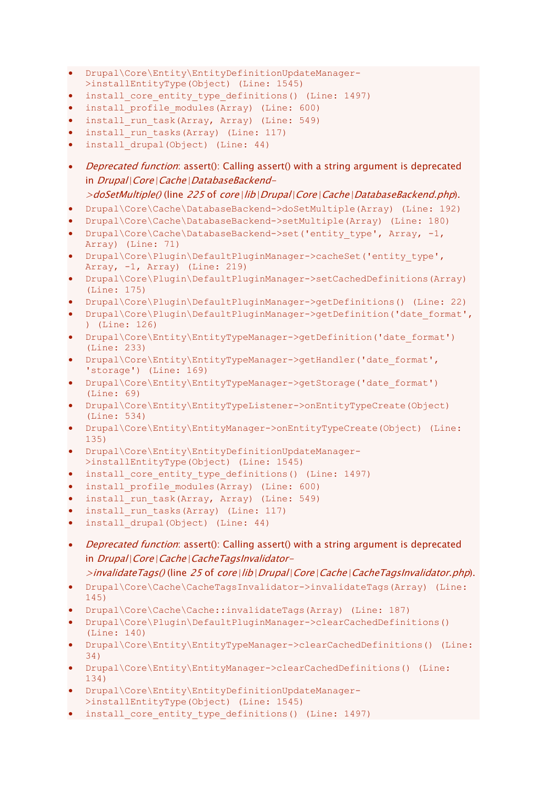- Drupal\Core\Entity\EntityDefinitionUpdateManager-
- >installEntityType(Object) (Line: 1545)
- install core entity type definitions() (Line: 1497)
- install profile modules(Array) (Line: 600)
- install run task(Array, Array) (Line: 549)
- install run tasks(Array) (Line: 117)
- install drupal(Object) (Line: 44)
- *Deprecated function*: assert(): Calling assert() with a string argument is deprecated in Drupal\Core\Cache\DatabaseBackend-
- >doSetMultiple() (line 225 of core\lib\Drupal\Core\Cache\DatabaseBackend.php).
- Drupal\Core\Cache\DatabaseBackend->doSetMultiple(Array) (Line: 192) • Drupal\Core\Cache\DatabaseBackend->setMultiple(Array) (Line: 180)
- Drupal\Core\Cache\DatabaseBackend->set('entity\_type', Array, -1, Array) (Line: 71)
- Drupal\Core\Plugin\DefaultPluginManager->cacheSet('entity\_type', Array, -1, Array) (Line: 219)
- Drupal\Core\Plugin\DefaultPluginManager->setCachedDefinitions(Array) (Line: 175)
- Drupal\Core\Plugin\DefaultPluginManager->getDefinitions() (Line: 22)
- Drupal\Core\Plugin\DefaultPluginManager->getDefinition('date\_format', ) (Line: 126)
- Drupal\Core\Entity\EntityTypeManager->getDefinition('date\_format') (Line: 233)
- Drupal\Core\Entity\EntityTypeManager->getHandler('date\_format', 'storage') (Line: 169)
- Drupal\Core\Entity\EntityTypeManager->getStorage('date\_format') (Line: 69)
- Drupal\Core\Entity\EntityTypeListener->onEntityTypeCreate(Object) (Line: 534)
- Drupal\Core\Entity\EntityManager->onEntityTypeCreate(Object) (Line: 135)
- Drupal\Core\Entity\EntityDefinitionUpdateManager- >installEntityType(Object) (Line: 1545)
- install core entity type definitions() (Line: 1497)
- install profile modules(Array) (Line: 600)
- install run task(Array, Array) (Line: 549)
- install run tasks(Array) (Line: 117)
- install drupal(Object) (Line: 44)
- Deprecated function: assert(): Calling assert() with a string argument is deprecated in Drupal\Core\Cache\CacheTagsInvalidator-

 $\ge$ invalidateTags() (line 25 of core\lib\Drupal\Core\Cache\CacheTagsInvalidator.php).

- Drupal\Core\Cache\CacheTagsInvalidator->invalidateTags(Array) (Line: 145)
- Drupal\Core\Cache\Cache::invalidateTags(Array) (Line: 187)
- Drupal\Core\Plugin\DefaultPluginManager->clearCachedDefinitions() (Line: 140)
- Drupal\Core\Entity\EntityTypeManager->clearCachedDefinitions() (Line: 34)
- Drupal\Core\Entity\EntityManager->clearCachedDefinitions() (Line: 134)
- Drupal\Core\Entity\EntityDefinitionUpdateManager- >installEntityType(Object) (Line: 1545)
- install core entity type definitions() (Line: 1497)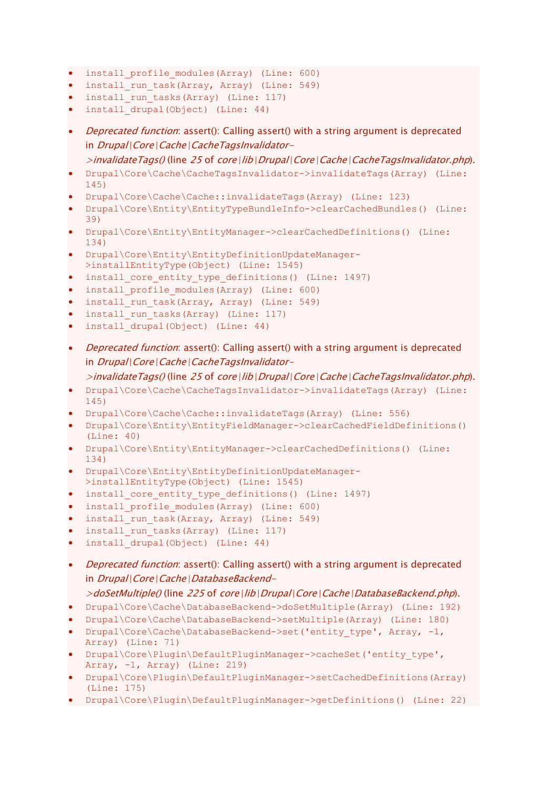- install profile modules(Array) (Line: 600)
- install run task(Array, Array) (Line: 549)
- install run tasks(Array) (Line: 117)
- install drupal(Object) (Line: 44)
- *Deprecated function*: assert(): Calling assert() with a string argument is deprecated in Drupal\Core\Cache\CacheTagsInvalidator- $\geq$ invalidateTags() (line 25 of core\lib\Drupal\Core\Cache\CacheTagsInvalidator.php).
- Drupal\Core\Cache\CacheTagsInvalidator->invalidateTags(Array) (Line: 145)
- Drupal\Core\Cache\Cache::invalidateTags(Array) (Line: 123)
- Drupal\Core\Entity\EntityTypeBundleInfo->clearCachedBundles() (Line: 39)
- Drupal\Core\Entity\EntityManager->clearCachedDefinitions() (Line: 134)
- Drupal\Core\Entity\EntityDefinitionUpdateManager- >installEntityType(Object) (Line: 1545)
- install core entity type definitions() (Line: 1497)
- install profile modules(Array) (Line: 600)
- install run task(Array, Array) (Line: 549)
- install run tasks(Array) (Line: 117)
- install drupal(Object) (Line: 44)
- *Deprecated function*: assert(): Calling assert() with a string argument is deprecated in Drupal\Core\Cache\CacheTagsInvalidator-
	- >invalidateTags() (line 25 of core\lib\Drupal\Core\Cache\CacheTagsInvalidator.php).
- Drupal\Core\Cache\CacheTagsInvalidator->invalidateTags(Array) (Line: 145)
- Drupal\Core\Cache\Cache::invalidateTags(Array) (Line: 556)
- Drupal\Core\Entity\EntityFieldManager->clearCachedFieldDefinitions() (Line: 40)
- Drupal\Core\Entity\EntityManager->clearCachedDefinitions() (Line: 134)
- Drupal\Core\Entity\EntityDefinitionUpdateManager- >installEntityType(Object) (Line: 1545)
- install core entity type definitions() (Line: 1497)
- install profile modules(Array) (Line: 600)
- install run task(Array, Array) (Line: 549)
- install run tasks(Array) (Line: 117)
- install drupal(Object) (Line: 44)
- Deprecated function: assert(): Calling assert() with a string argument is deprecated in Drupal\Core\Cache\DatabaseBackend-
	- >doSetMultiple() (line 225 of core\lib\Drupal\Core\Cache\DatabaseBackend.php).
- Drupal\Core\Cache\DatabaseBackend->doSetMultiple(Array) (Line: 192)
- Drupal\Core\Cache\DatabaseBackend->setMultiple(Array) (Line: 180)
- Drupal\Core\Cache\DatabaseBackend->set('entity type', Array, -1, Array) (Line: 71)
- Drupal\Core\Plugin\DefaultPluginManager->cacheSet('entity\_type', Array,  $-1$ , Array) (Line: 219)
- Drupal\Core\Plugin\DefaultPluginManager->setCachedDefinitions(Array) (Line: 175)
- Drupal\Core\Plugin\DefaultPluginManager->getDefinitions() (Line: 22)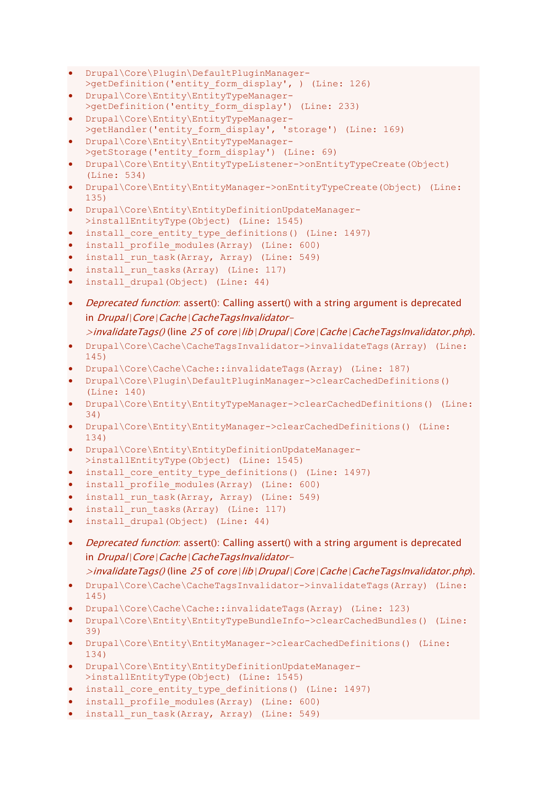- Drupal\Core\Plugin\DefaultPluginManager- >getDefinition('entity form display', ) (Line: 126)
- Drupal\Core\Entity\EntityTypeManager- >getDefinition('entity\_form\_display') (Line: 233)
- Drupal\Core\Entity\EntityTypeManager- >getHandler('entity form display', 'storage') (Line: 169)
- Drupal\Core\Entity\EntityTypeManager- >getStorage('entity form display') (Line: 69)
- Drupal\Core\Entity\EntityTypeListener->onEntityTypeCreate(Object) (Line: 534)
- Drupal\Core\Entity\EntityManager->onEntityTypeCreate(Object) (Line: 135)
- Drupal\Core\Entity\EntityDefinitionUpdateManager- >installEntityType(Object) (Line: 1545)
- install core entity type definitions() (Line: 1497)
- install profile modules(Array) (Line: 600)
- install run task(Array, Array) (Line: 549)
- install run tasks(Array) (Line: 117)
- install drupal(Object) (Line: 44)
- *Deprecated function*: assert(): Calling assert() with a string argument is deprecated in Drupal\Core\Cache\CacheTagsInvalidator-

### $\geq$ invalidateTags() (line 25 of core\lib\Drupal\Core\Cache\CacheTagsInvalidator.php).

- Drupal\Core\Cache\CacheTagsInvalidator->invalidateTags(Array) (Line: 145)
- Drupal\Core\Cache\Cache::invalidateTags(Array) (Line: 187)
- Drupal\Core\Plugin\DefaultPluginManager->clearCachedDefinitions() (Line: 140)
- Drupal\Core\Entity\EntityTypeManager->clearCachedDefinitions() (Line: 34)
- Drupal\Core\Entity\EntityManager->clearCachedDefinitions() (Line: 134)
- Drupal\Core\Entity\EntityDefinitionUpdateManager- >installEntityType(Object) (Line: 1545)
- install core entity type definitions() (Line: 1497)
- install profile modules(Array) (Line: 600)
- install run task(Array, Array) (Line: 549)
- install run tasks(Array) (Line: 117)
- install drupal(Object) (Line: 44)
- Deprecated function: assert(): Calling assert() with a string argument is deprecated in Drupal\Core\Cache\CacheTagsInvalidator-

```
\geqinvalidateTags() (line 25 of core\lib\Drupal\Core\Cache\CacheTagsInvalidator.php).
```
- Drupal\Core\Cache\CacheTagsInvalidator->invalidateTags(Array) (Line: 145)
- Drupal\Core\Cache\Cache::invalidateTags(Array) (Line: 123)
- Drupal\Core\Entity\EntityTypeBundleInfo->clearCachedBundles() (Line: 39)
- Drupal\Core\Entity\EntityManager->clearCachedDefinitions() (Line: 134)
- Drupal\Core\Entity\EntityDefinitionUpdateManager- >installEntityType(Object) (Line: 1545)
- install\_core\_entity\_type\_definitions() (Line: 1497)
- install profile modules(Array) (Line: 600)
- install run task(Array, Array) (Line: 549)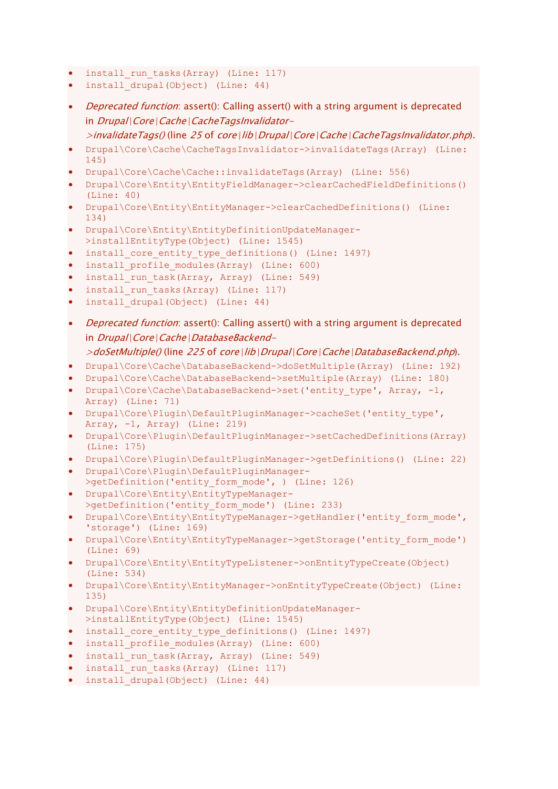- install run tasks(Array) (Line: 117)
- install drupal(Object) (Line: 44)
- Deprecated function: assert(): Calling assert() with a string argument is deprecated in Drupal\Core\Cache\CacheTagsInvalidator-

 $\geq$ invalidateTags() (line 25 of core\lib\Drupal\Core\Cache\CacheTagsInvalidator.php).

- Drupal\Core\Cache\CacheTagsInvalidator->invalidateTags(Array) (Line: 145)
- Drupal\Core\Cache\Cache::invalidateTags(Array) (Line: 556)
- Drupal\Core\Entity\EntityFieldManager->clearCachedFieldDefinitions() (Line: 40)
- Drupal\Core\Entity\EntityManager->clearCachedDefinitions() (Line: 134)
- Drupal\Core\Entity\EntityDefinitionUpdateManager- >installEntityType(Object) (Line: 1545)
- install core entity type definitions() (Line: 1497)
- install profile modules(Array) (Line: 600)
- install\_run\_task(Array, Array) (Line: 549)
- install run tasks(Array) (Line: 117)
- install drupal(Object) (Line: 44)
- Deprecated function: assert(): Calling assert() with a string argument is deprecated in Drupal\Core\Cache\DatabaseBackend-

- Drupal\Core\Cache\DatabaseBackend->doSetMultiple(Array) (Line: 192)
- Drupal\Core\Cache\DatabaseBackend->setMultiple(Array) (Line: 180)
- Drupal\Core\Cache\DatabaseBackend->set('entity\_type', Array, -1, Array) (Line: 71)
- Drupal\Core\Plugin\DefaultPluginManager->cacheSet('entity type', Array, -1, Array) (Line: 219)
- Drupal\Core\Plugin\DefaultPluginManager->setCachedDefinitions(Array) (Line: 175)
- Drupal\Core\Plugin\DefaultPluginManager->getDefinitions() (Line: 22)
- Drupal\Core\Plugin\DefaultPluginManager-
- >getDefinition('entity form mode', ) (Line: 126) • Drupal\Core\Entity\EntityTypeManager-
- >getDefinition('entity\_form\_mode') (Line: 233)
- Drupal\Core\Entity\EntityTypeManager->getHandler('entity\_form\_mode', 'storage') (Line: 169)
- Drupal\Core\Entity\EntityTypeManager->getStorage('entity form\_mode') (Line: 69)
- Drupal\Core\Entity\EntityTypeListener->onEntityTypeCreate(Object) (Line: 534)
- Drupal\Core\Entity\EntityManager->onEntityTypeCreate(Object) (Line: 135)
- Drupal\Core\Entity\EntityDefinitionUpdateManager- >installEntityType(Object) (Line: 1545)
- install core entity type definitions() (Line: 1497)
- install profile modules(Array) (Line: 600)
- install run task(Array, Array) (Line: 549)
- install run tasks(Array) (Line: 117)
- install drupal(Object) (Line: 44)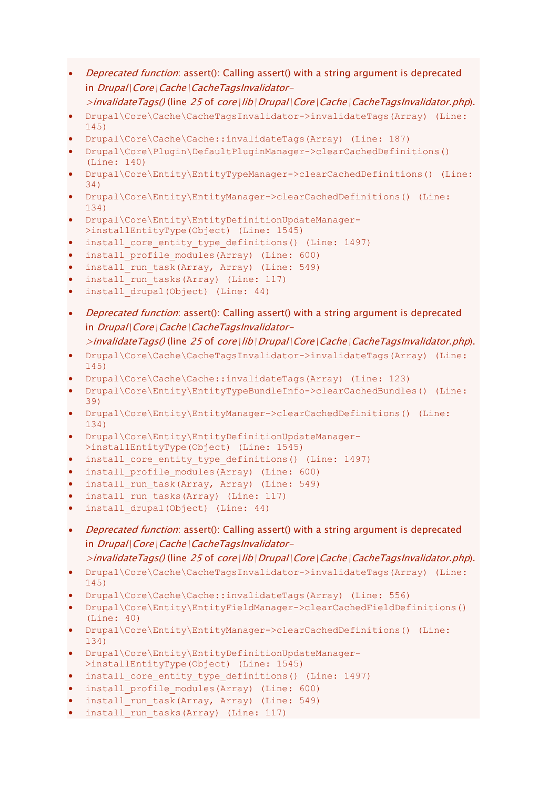- *Deprecated function*: assert(): Calling assert() with a string argument is deprecated in Drupal\Core\Cache\CacheTagsInvalidator-
	- $\geq$ invalidateTags() (line 25 of core\lib\Drupal\Core\Cache\CacheTagsInvalidator.php).
- Drupal\Core\Cache\CacheTagsInvalidator->invalidateTags(Array) (Line: 145)
- Drupal\Core\Cache\Cache::invalidateTags(Array) (Line: 187)
- Drupal\Core\Plugin\DefaultPluginManager->clearCachedDefinitions() (Line: 140)
- Drupal\Core\Entity\EntityTypeManager->clearCachedDefinitions() (Line: 34)
- Drupal\Core\Entity\EntityManager->clearCachedDefinitions() (Line: 134)
- Drupal\Core\Entity\EntityDefinitionUpdateManager- >installEntityType(Object) (Line: 1545)
- install core entity type definitions() (Line: 1497)
- install profile modules(Array) (Line: 600)
- install\_run\_task(Array, Array) (Line: 549)
- install run tasks(Array) (Line: 117)
- install drupal(Object) (Line: 44)
- Deprecated function: assert(): Calling assert() with a string argument is deprecated in Drupal\Core\Cache\CacheTagsInvalidator-

#### >invalidateTags() (line 25 of core\lib\Drupal\Core\Cache\CacheTagsInvalidator.php).

- Drupal\Core\Cache\CacheTagsInvalidator->invalidateTags(Array) (Line: 145)
- Drupal\Core\Cache\Cache::invalidateTags(Array) (Line: 123)
- Drupal\Core\Entity\EntityTypeBundleInfo->clearCachedBundles() (Line: 39)
- Drupal\Core\Entity\EntityManager->clearCachedDefinitions() (Line: 134)
- Drupal\Core\Entity\EntityDefinitionUpdateManager- >installEntityType(Object) (Line: 1545)
- install core entity type definitions() (Line: 1497)
- install profile modules(Array) (Line: 600)
- install run task(Array, Array) (Line: 549)
- install run tasks(Array) (Line: 117)
- install drupal(Object) (Line: 44)
- *Deprecated function*: assert(): Calling assert() with a string argument is deprecated in Drupal\Core\Cache\CacheTagsInvalidator-

>invalidateTags() (line 25 of core\lib\Drupal\Core\Cache\CacheTagsInvalidator.php).

- Drupal\Core\Cache\CacheTagsInvalidator->invalidateTags(Array) (Line: 145)
- Drupal\Core\Cache\Cache::invalidateTags(Array) (Line: 556)
- Drupal\Core\Entity\EntityFieldManager->clearCachedFieldDefinitions() (Line: 40)
- Drupal\Core\Entity\EntityManager->clearCachedDefinitions() (Line: 134)
- Drupal\Core\Entity\EntityDefinitionUpdateManager- >installEntityType(Object) (Line: 1545)
- install core entity type definitions() (Line: 1497)
- install profile modules(Array) (Line: 600)
- install run task(Array, Array) (Line: 549)
- install run tasks(Array) (Line: 117)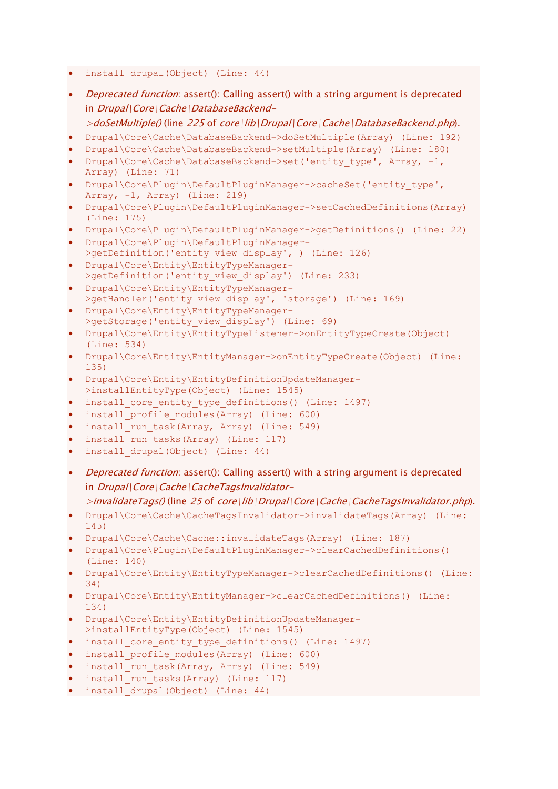- install drupal(Object) (Line: 44)
- **Deprecated function:** assert(): Calling assert() with a string argument is deprecated in Drupal\Core\Cache\DatabaseBackend- $>$ doSetMultiple() (line 225 of core\lib\Drupal\Core\Cache\DatabaseBackend.php).
- Drupal\Core\Cache\DatabaseBackend->doSetMultiple(Array) (Line: 192)
- Drupal\Core\Cache\DatabaseBackend->setMultiple(Array) (Line: 180)
- Drupal\Core\Cache\DatabaseBackend->set('entity\_type', Array, -1, Array) (Line: 71)
- Drupal\Core\Plugin\DefaultPluginManager->cacheSet('entity\_type', Array, -1, Array) (Line: 219)
- Drupal\Core\Plugin\DefaultPluginManager->setCachedDefinitions(Array) (Line: 175)
- Drupal\Core\Plugin\DefaultPluginManager->getDefinitions() (Line: 22)
- Drupal\Core\Plugin\DefaultPluginManager- >getDefinition('entity view display', ) (Line: 126)
- Drupal\Core\Entity\EntityTypeManager- >getDefinition('entity\_view\_display') (Line: 233)
- Drupal\Core\Entity\EntityTypeManager- >getHandler('entity view display', 'storage') (Line: 169)
- Drupal\Core\Entity\EntityTypeManager- >getStorage('entity\_view\_display') (Line: 69)
- Drupal\Core\Entity\EntityTypeListener->onEntityTypeCreate(Object) (Line: 534)
- Drupal\Core\Entity\EntityManager->onEntityTypeCreate(Object) (Line: 135)
- Drupal\Core\Entity\EntityDefinitionUpdateManager- >installEntityType(Object) (Line: 1545)
- install core entity type definitions() (Line: 1497)
- install profile modules(Array) (Line: 600)
- install run task(Array, Array) (Line: 549)
- install run tasks(Array) (Line: 117)
- install drupal(Object) (Line: 44)
- *Deprecated function*: assert(): Calling assert() with a string argument is deprecated in Drupal\Core\Cache\CacheTagsInvalidator-
	- >invalidateTags() (line 25 of core\lib\Drupal\Core\Cache\CacheTagsInvalidator.php).
- Drupal\Core\Cache\CacheTagsInvalidator->invalidateTags(Array) (Line: 145)
- Drupal\Core\Cache\Cache::invalidateTags(Array) (Line: 187)
- Drupal\Core\Plugin\DefaultPluginManager->clearCachedDefinitions() (Line: 140)
- Drupal\Core\Entity\EntityTypeManager->clearCachedDefinitions() (Line: 34)
- Drupal\Core\Entity\EntityManager->clearCachedDefinitions() (Line: 134)
- Drupal\Core\Entity\EntityDefinitionUpdateManager- >installEntityType(Object) (Line: 1545)
- install\_core\_entity\_type\_definitions() (Line: 1497)
- install profile modules(Array) (Line: 600)
- install run task(Array, Array) (Line: 549)
- install\_run\_tasks(Array) (Line: 117)
- install drupal(Object) (Line: 44)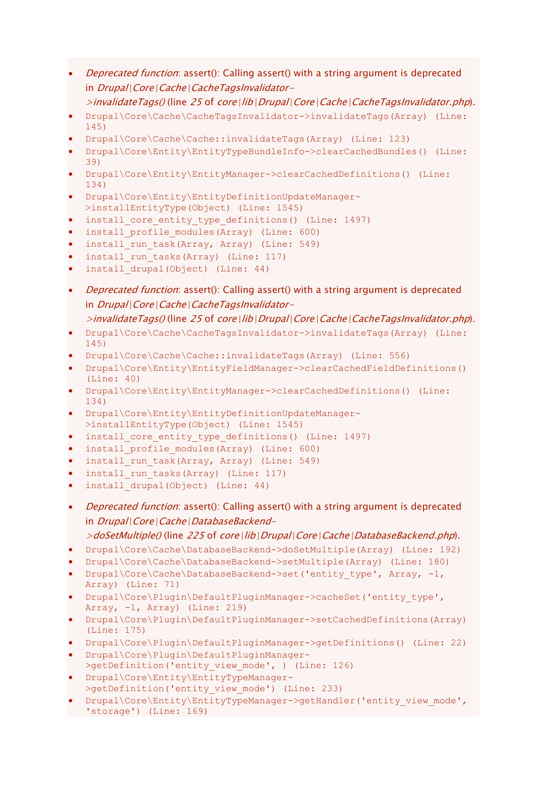- *Deprecated function*: assert(): Calling assert() with a string argument is deprecated in Drupal\Core\Cache\CacheTagsInvalidator-
	- $\geq$ invalidateTags() (line 25 of core\lib\Drupal\Core\Cache\CacheTagsInvalidator.php).
- Drupal\Core\Cache\CacheTagsInvalidator->invalidateTags(Array) (Line: 145)
- Drupal\Core\Cache\Cache::invalidateTags(Array) (Line: 123)
- Drupal\Core\Entity\EntityTypeBundleInfo->clearCachedBundles() (Line: 39)
- Drupal\Core\Entity\EntityManager->clearCachedDefinitions() (Line: 134)
- Drupal\Core\Entity\EntityDefinitionUpdateManager- >installEntityType(Object) (Line: 1545)
- install core entity type definitions() (Line: 1497)
- install profile modules(Array) (Line: 600)
- install run task(Array, Array) (Line: 549)
- install run tasks(Array) (Line: 117)
- install drupal(Object) (Line: 44)
- Deprecated function: assert(): Calling assert() with a string argument is deprecated in Drupal\Core\Cache\CacheTagsInvalidator-

```
>invalidateTags() (line 25 of core\lib\Drupal\Core\Cache\CacheTagsInvalidator.php).
```
- Drupal\Core\Cache\CacheTagsInvalidator->invalidateTags(Array) (Line: 145)
- Drupal\Core\Cache\Cache::invalidateTags(Array) (Line: 556)
- Drupal\Core\Entity\EntityFieldManager->clearCachedFieldDefinitions() (Line: 40)
- Drupal\Core\Entity\EntityManager->clearCachedDefinitions() (Line: 134)
- Drupal\Core\Entity\EntityDefinitionUpdateManager- >installEntityType(Object) (Line: 1545)
- install core entity type definitions() (Line: 1497)
- install profile modules(Array) (Line: 600)
- install run task(Array, Array) (Line: 549)
- install run tasks(Array) (Line: 117)
- install drupal(Object) (Line: 44)
- *Deprecated function*: assert(): Calling assert() with a string argument is deprecated in Drupal\Core\Cache\DatabaseBackend-

- Drupal\Core\Cache\DatabaseBackend->doSetMultiple(Array) (Line: 192)
- Drupal\Core\Cache\DatabaseBackend->setMultiple(Array) (Line: 180)
- Drupal\Core\Cache\DatabaseBackend->set('entity type', Array, -1, Array) (Line: 71)
- Drupal\Core\Plugin\DefaultPluginManager->cacheSet('entity\_type', Array,  $-1$ , Array) (Line: 219)
- Drupal\Core\Plugin\DefaultPluginManager->setCachedDefinitions(Array) (Line: 175)
- Drupal\Core\Plugin\DefaultPluginManager->getDefinitions() (Line: 22)
- Drupal\Core\Plugin\DefaultPluginManager- >qetDefinition('entity view mode', ) (Line: 126)
- Drupal\Core\Entity\EntityTypeManager- >getDefinition('entity view mode') (Line: 233)
- Drupal\Core\Entity\EntityTypeManager->getHandler('entity\_view\_mode', 'storage') (Line: 169)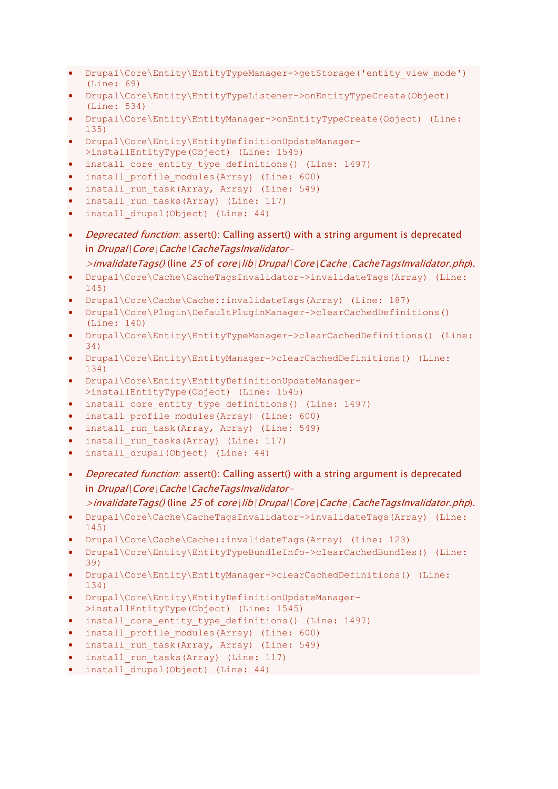- Drupal\Core\Entity\EntityTypeManager->getStorage('entity view mode') (Line: 69)
- Drupal\Core\Entity\EntityTypeListener->onEntityTypeCreate(Object) (Line: 534)
- Drupal\Core\Entity\EntityManager->onEntityTypeCreate(Object) (Line: 135)
- Drupal\Core\Entity\EntityDefinitionUpdateManager-
- >installEntityType(Object) (Line: 1545)
- install\_core\_entity\_type\_definitions() (Line: 1497)
- install profile modules(Array) (Line: 600)
- install run task(Array, Array) (Line: 549)
- install run tasks(Array) (Line: 117)
- install drupal(Object) (Line: 44)
- *Deprecated function*: assert(): Calling assert() with a string argument is deprecated in Drupal\Core\Cache\CacheTagsInvalidator-

>invalidateTags() (line 25 of core\lib\Drupal\Core\Cache\CacheTagsInvalidator.php).

- Drupal\Core\Cache\CacheTagsInvalidator->invalidateTags(Array) (Line: 145)
- Drupal\Core\Cache\Cache::invalidateTags(Array) (Line: 187)
- Drupal\Core\Plugin\DefaultPluginManager->clearCachedDefinitions() (Line: 140)
- Drupal\Core\Entity\EntityTypeManager->clearCachedDefinitions() (Line: 34)
- Drupal\Core\Entity\EntityManager->clearCachedDefinitions() (Line: 134)
- Drupal\Core\Entity\EntityDefinitionUpdateManager- >installEntityType(Object) (Line: 1545)
- install core entity type definitions() (Line: 1497)
- install profile modules(Array) (Line: 600)
- install run task(Array, Array) (Line: 549)
- install run tasks(Array) (Line: 117)
- install drupal(Object) (Line: 44)
- *Deprecated function*: assert(): Calling assert() with a string argument is deprecated in Drupal\Core\Cache\CacheTagsInvalidator-

 $\ge$ invalidateTags() (line 25 of core\lib\Drupal\Core\Cache\CacheTagsInvalidator.php).

- Drupal\Core\Cache\CacheTagsInvalidator->invalidateTags(Array) (Line: 145)
- Drupal\Core\Cache\Cache::invalidateTags(Array) (Line: 123)
- Drupal\Core\Entity\EntityTypeBundleInfo->clearCachedBundles() (Line: 39)
- Drupal\Core\Entity\EntityManager->clearCachedDefinitions() (Line: 134)
- Drupal\Core\Entity\EntityDefinitionUpdateManager- >installEntityType(Object) (Line: 1545)
- install core entity type definitions() (Line: 1497)
- install profile modules(Array) (Line: 600)
- install run task(Array, Array) (Line: 549)
- install run tasks(Array) (Line: 117)
- install drupal(Object) (Line: 44)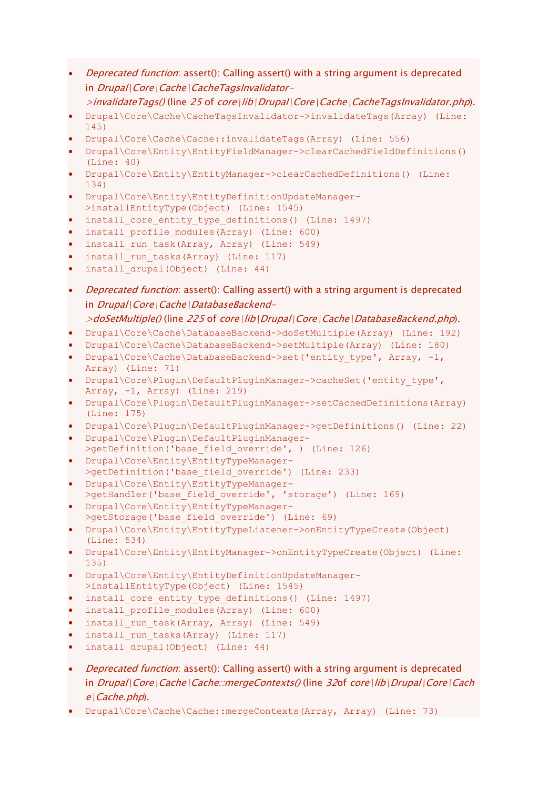- *Deprecated function*: assert(): Calling assert() with a string argument is deprecated in Drupal\Core\Cache\CacheTagsInvalidator-
	- $\geq$ invalidateTags() (line 25 of core\lib\Drupal\Core\Cache\CacheTagsInvalidator.php).
- Drupal\Core\Cache\CacheTagsInvalidator->invalidateTags(Array) (Line: 145)
- Drupal\Core\Cache\Cache::invalidateTags(Array) (Line: 556)
- Drupal\Core\Entity\EntityFieldManager->clearCachedFieldDefinitions() (Line: 40)
- Drupal\Core\Entity\EntityManager->clearCachedDefinitions() (Line: 134)
- Drupal\Core\Entity\EntityDefinitionUpdateManager- >installEntityType(Object) (Line: 1545)
- install core entity type definitions() (Line: 1497)
- install profile modules(Array) (Line: 600)
- install run task(Array, Array) (Line: 549)
- install run tasks(Array) (Line: 117)
- install drupal(Object) (Line: 44)
- Deprecated function: assert(): Calling assert() with a string argument is deprecated in Drupal\Core\Cache\DatabaseBackend-
	- >doSetMultiple() (line 225 of core\lib\Drupal\Core\Cache\DatabaseBackend.php).
- Drupal\Core\Cache\DatabaseBackend->doSetMultiple(Array) (Line: 192)
- Drupal\Core\Cache\DatabaseBackend->setMultiple(Array) (Line: 180)
- Drupal\Core\Cache\DatabaseBackend->set('entity\_type', Array, -1, Array) (Line: 71)
- Drupal\Core\Plugin\DefaultPluginManager->cacheSet('entity\_type', Array, -1, Array) (Line: 219)
- Drupal\Core\Plugin\DefaultPluginManager->setCachedDefinitions(Array) (Line: 175)
- Drupal\Core\Plugin\DefaultPluginManager->getDefinitions() (Line: 22)
- Drupal\Core\Plugin\DefaultPluginManager- >getDefinition('base field override', ) (Line: 126)
- Drupal\Core\Entity\EntityTypeManager- >getDefinition('base field override') (Line: 233)
- Drupal\Core\Entity\EntityTypeManager- >getHandler('base\_field\_override', 'storage') (Line: 169)
- Drupal\Core\Entity\EntityTypeManager- >getStorage('base field override') (Line: 69)
- Drupal\Core\Entity\EntityTypeListener->onEntityTypeCreate(Object) (Line: 534)
- Drupal\Core\Entity\EntityManager->onEntityTypeCreate(Object) (Line: 135)
- Drupal\Core\Entity\EntityDefinitionUpdateManager- >installEntityType(Object) (Line: 1545)
- install\_core\_entity\_type\_definitions() (Line: 1497)
- install profile modules(Array) (Line: 600)
- install run task(Array, Array) (Line: 549)
- install run tasks(Array) (Line: 117)
- install drupal(Object) (Line: 44)
- *Deprecated function*: assert(): Calling assert() with a string argument is deprecated in Drupal\Core\Cache\Cache::mergeContexts() (line 32of core\lib\Drupal\Core\Cach  $e$ | Cache.php).
- Drupal\Core\Cache\Cache::mergeContexts(Array, Array) (Line: 73)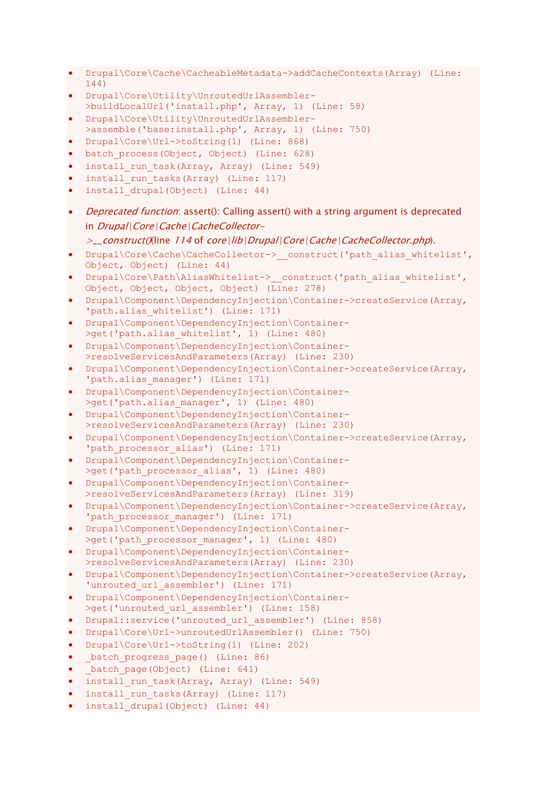- Drupal\Core\Cache\CacheableMetadata->addCacheContexts(Array) (Line: 144)
- Drupal\Core\Utility\UnroutedUrlAssembler- >buildLocalUrl('install.php', Array, 1) (Line: 58)
- Drupal\Core\Utility\UnroutedUrlAssembler-
- >assemble('base:install.php', Array, 1) (Line: 750) • Drupal\Core\Url->toString(1) (Line: 868)
- batch process(Object, Object) (Line: 628)
- install run task(Array, Array) (Line: 549)
- install run tasks(Array) (Line: 117)
- install drupal(Object) (Line: 44)
- *Deprecated function*: assert(): Calling assert() with a string argument is deprecated in Drupal\Core\Cache\CacheCollector-
	- >\_\_construct()(line 114 of core\lib\Drupal\Core\Cache\CacheCollector.php).
- Drupal\Core\Cache\CacheCollector-> construct('path\_alias\_whitelist', Object, Object) (Line: 44)
- Drupal\Core\Path\AliasWhitelist-> construct('path\_alias\_whitelist', Object, Object, Object, Object) (Line: 278)
- Drupal\Component\DependencyInjection\Container->createService(Array, 'path.alias whitelist') (Line: 171)
- Drupal\Component\DependencyInjection\Container- >get('path.alias whitelist', 1) (Line: 480)
- Drupal\Component\DependencyInjection\Container- >resolveServicesAndParameters(Array) (Line: 230)
- Drupal\Component\DependencyInjection\Container->createService(Array, 'path.alias manager') (Line: 171)
- Drupal\Component\DependencyInjection\Container- >get('path.alias manager', 1) (Line: 480)
- Drupal\Component\DependencyInjection\Container- >resolveServicesAndParameters(Array) (Line: 230)
- Drupal\Component\DependencyInjection\Container->createService(Array, 'path processor alias') (Line: 171)
- Drupal\Component\DependencyInjection\Container- >qet('path processor alias', 1) (Line: 480)
- Drupal\Component\DependencyInjection\Container- >resolveServicesAndParameters(Array) (Line: 319)
- Drupal\Component\DependencyInjection\Container->createService(Array, 'path processor manager') (Line: 171)
- Drupal\Component\DependencyInjection\Container- >get('path processor manager', 1) (Line: 480)
- Drupal\Component\DependencyInjection\Container- >resolveServicesAndParameters(Array) (Line: 230)
- Drupal\Component\DependencyInjection\Container->createService(Array, 'unrouted\_url\_assembler') (Line: 171)
- Drupal\Component\DependencyInjection\Container- >get('unrouted url assembler') (Line: 158)
- Drupal::service('unrouted url assembler') (Line: 858)
- Drupal\Core\Url->unroutedUrlAssembler() (Line: 750)
- Drupal\Core\Url->toString(1) (Line: 202)
- batch\_progress page() (Line: 86)
- batch page(Object) (Line: 641)
- install run task(Array, Array) (Line: 549)
- install run tasks(Array) (Line: 117)
- install drupal(Object) (Line: 44)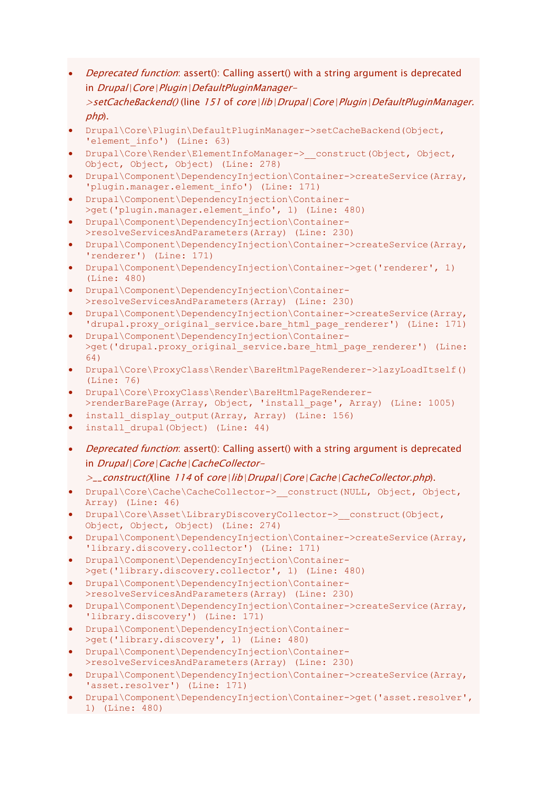*Deprecated function*: assert(): Calling assert() with a string argument is deprecated in Drupal\Core\Plugin\DefaultPluginManager->setCacheBackend() (line 151 of core\lib\Drupal\Core\Plugin\DefaultPluginManager.

```
php).
```
- Drupal\Core\Plugin\DefaultPluginManager->setCacheBackend(Object, 'element info') (Line: 63)
- Drupal\Core\Render\ElementInfoManager-> construct(Object, Object, Object, Object, Object) (Line: 278)
- Drupal\Component\DependencyInjection\Container->createService(Array, 'plugin.manager.element\_info') (Line: 171)
- Drupal\Component\DependencyInjection\Container- >get('plugin.manager.element info', 1) (Line: 480)
- Drupal\Component\DependencyInjection\Container- >resolveServicesAndParameters(Array) (Line: 230)
- Drupal\Component\DependencyInjection\Container->createService(Array, 'renderer') (Line: 171)
- Drupal\Component\DependencyInjection\Container->get('renderer', 1) (Line: 480)
- Drupal\Component\DependencyInjection\Container- >resolveServicesAndParameters(Array) (Line: 230)
- Drupal\Component\DependencyInjection\Container->createService(Array, 'drupal.proxy\_original\_service.bare\_html\_page\_renderer') (Line: 171)
- Drupal\Component\DependencyInjection\Container- >get('drupal.proxy\_original\_service.bare\_html\_page\_renderer') (Line: 64)
- Drupal\Core\ProxyClass\Render\BareHtmlPageRenderer->lazyLoadItself() (Line: 76)
- Drupal\Core\ProxyClass\Render\BareHtmlPageRenderer- >renderBarePage(Array, Object, 'install page', Array) (Line: 1005)
- install display output(Array, Array) (Line: 156)
- install drupal(Object) (Line: 44)
- *Deprecated function*: assert(): Calling assert() with a string argument is deprecated in Drupal\Core\Cache\CacheCollector-
	- $\geq$  construct()(line 114 of core\lib\Drupal\Core\Cache\CacheCollector.php).
- Drupal\Core\Cache\CacheCollector-> construct(NULL, Object, Object, Array) (Line: 46)
- Drupal\Core\Asset\LibraryDiscoveryCollector-> construct(Object, Object, Object, Object) (Line: 274)
- Drupal\Component\DependencyInjection\Container->createService(Array, 'library.discovery.collector') (Line: 171)
- Drupal\Component\DependencyInjection\Container- >get('library.discovery.collector', 1) (Line: 480)
- Drupal\Component\DependencyInjection\Container- >resolveServicesAndParameters(Array) (Line: 230)
- Drupal\Component\DependencyInjection\Container->createService(Array, 'library.discovery') (Line: 171)
- Drupal\Component\DependencyInjection\Container- >get('library.discovery', 1) (Line: 480)
- Drupal\Component\DependencyInjection\Container- >resolveServicesAndParameters(Array) (Line: 230)
- Drupal\Component\DependencyInjection\Container->createService(Array, 'asset.resolver') (Line: 171)
- Drupal\Component\DependencyInjection\Container->get('asset.resolver', 1) (Line: 480)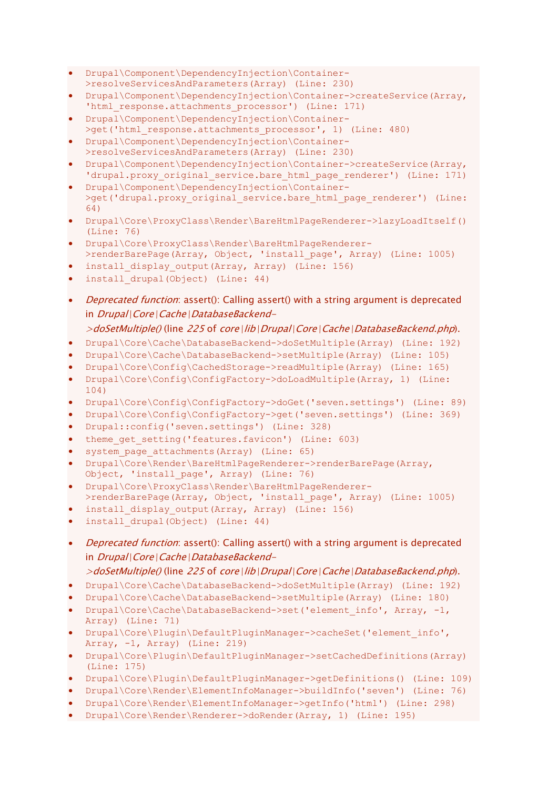- Drupal\Component\DependencyInjection\Container- >resolveServicesAndParameters(Array) (Line: 230)
- Drupal\Component\DependencyInjection\Container->createService(Array, 'html response.attachments processor') (Line: 171)
- Drupal\Component\DependencyInjection\Container- >get('html response.attachments processor', 1) (Line: 480)
- Drupal\Component\DependencyInjection\Container- >resolveServicesAndParameters(Array) (Line: 230)
- Drupal\Component\DependencyInjection\Container->createService(Array, 'drupal.proxy original service.bare html page renderer') (Line: 171)
- Drupal\Component\DependencyInjection\Container- >get('drupal.proxy\_original\_service.bare\_html\_page\_renderer') (Line: 64)
- Drupal\Core\ProxyClass\Render\BareHtmlPageRenderer->lazyLoadItself() (Line: 76)
- Drupal\Core\ProxyClass\Render\BareHtmlPageRenderer- >renderBarePage(Array, Object, 'install page', Array) (Line: 1005)
- install display output(Array, Array) (Line: 156)
- install drupal(Object) (Line: 44)
- *Deprecated function*: assert(): Calling assert() with a string argument is deprecated in Drupal\Core\Cache\DatabaseBackend-

- Drupal\Core\Cache\DatabaseBackend->doSetMultiple(Array) (Line: 192)
- Drupal\Core\Cache\DatabaseBackend->setMultiple(Array) (Line: 105)
- Drupal\Core\Config\CachedStorage->readMultiple(Array) (Line: 165)
- Drupal\Core\Config\ConfigFactory->doLoadMultiple(Array, 1) (Line: 104)
- Drupal\Core\Config\ConfigFactory->doGet('seven.settings') (Line: 89)
- Drupal\Core\Config\ConfigFactory->get('seven.settings') (Line: 369)
- Drupal::config('seven.settings') (Line: 328)
- theme get setting('features.favicon') (Line: 603)
- system page attachments(Array) (Line: 65)
- Drupal\Core\Render\BareHtmlPageRenderer->renderBarePage(Array, Object, 'install\_page', Array) (Line: 76)
- Drupal\Core\ProxyClass\Render\BareHtmlPageRenderer- >renderBarePage(Array, Object, 'install page', Array) (Line: 1005)
- install display output(Array, Array) (Line: 156)
- install drupal(Object) (Line: 44)
- Deprecated function: assert(): Calling assert() with a string argument is deprecated in Drupal\Core\Cache\DatabaseBackend-
- >doSetMultiple() (line 225 of core\lib\Drupal\Core\Cache\DatabaseBackend.php).
- Drupal\Core\Cache\DatabaseBackend->doSetMultiple(Array) (Line: 192)
- Drupal\Core\Cache\DatabaseBackend->setMultiple(Array) (Line: 180)
- Drupal\Core\Cache\DatabaseBackend->set('element info', Array, -1, Array) (Line: 71)
- Drupal\Core\Plugin\DefaultPluginManager->cacheSet('element\_info', Array, -1, Array) (Line: 219)
- Drupal\Core\Plugin\DefaultPluginManager->setCachedDefinitions(Array) (Line: 175)
- Drupal\Core\Plugin\DefaultPluginManager->getDefinitions() (Line: 109)
- Drupal\Core\Render\ElementInfoManager->buildInfo('seven') (Line: 76)
- Drupal\Core\Render\ElementInfoManager->getInfo('html') (Line: 298)
- Drupal\Core\Render\Renderer->doRender(Array, 1) (Line: 195)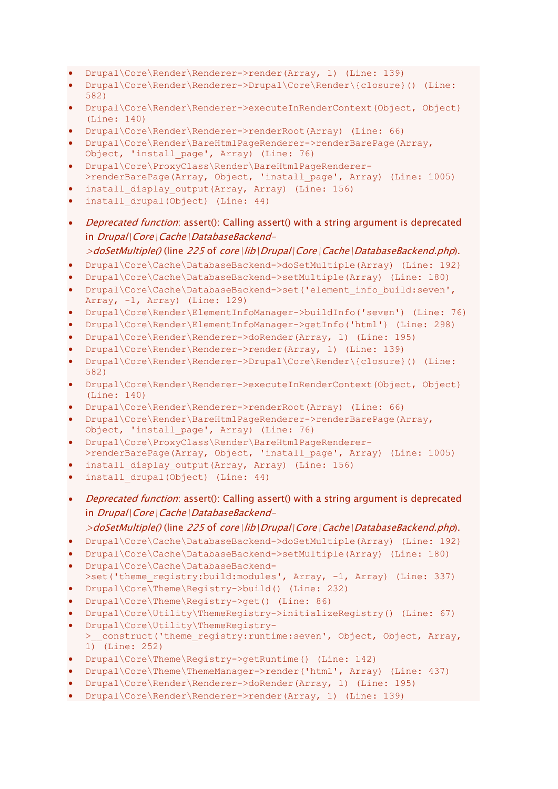- Drupal\Core\Render\Renderer->render(Array, 1) (Line: 139)
- Drupal\Core\Render\Renderer->Drupal\Core\Render\{closure}() (Line: 582)
- Drupal\Core\Render\Renderer->executeInRenderContext(Object, Object) (Line: 140)
- Drupal\Core\Render\Renderer->renderRoot(Array) (Line: 66)
- Drupal\Core\Render\BareHtmlPageRenderer->renderBarePage(Array, Object, 'install\_page', Array) (Line: 76)
- Drupal\Core\ProxyClass\Render\BareHtmlPageRenderer- >renderBarePage(Array, Object, 'install page', Array) (Line: 1005)
- install\_display\_output(Array, Array) (Line: 156)
- install drupal(Object) (Line: 44)
- *Deprecated function*: assert(): Calling assert() with a string argument is deprecated in Drupal\Core\Cache\DatabaseBackend-
- >doSetMultiple() (line 225 of core\lib\Drupal\Core\Cache\DatabaseBackend.php).
- Drupal\Core\Cache\DatabaseBackend->doSetMultiple(Array) (Line: 192)
- Drupal\Core\Cache\DatabaseBackend->setMultiple(Array) (Line: 180)
- Drupal\Core\Cache\DatabaseBackend->set('element\_info\_build:seven', Array, -1, Array) (Line: 129)
- Drupal\Core\Render\ElementInfoManager->buildInfo('seven') (Line: 76)
- Drupal\Core\Render\ElementInfoManager->getInfo('html') (Line: 298)
- Drupal\Core\Render\Renderer->doRender(Array, 1) (Line: 195)
- Drupal\Core\Render\Renderer->render(Array, 1) (Line: 139)
- Drupal\Core\Render\Renderer->Drupal\Core\Render\{closure}() (Line: 582)
- Drupal\Core\Render\Renderer->executeInRenderContext(Object, Object) (Line: 140)
- Drupal\Core\Render\Renderer->renderRoot(Array) (Line: 66)
- Drupal\Core\Render\BareHtmlPageRenderer->renderBarePage(Array, Object, 'install\_page', Array) (Line: 76)
- Drupal\Core\ProxyClass\Render\BareHtmlPageRenderer- >renderBarePage(Array, Object, 'install page', Array) (Line: 1005)
- install display output(Array, Array) (Line: 156)
- install drupal(Object) (Line: 44)
- *Deprecated function*: assert(): Calling assert() with a string argument is deprecated in Drupal\Core\Cache\DatabaseBackend-

- Drupal\Core\Cache\DatabaseBackend->doSetMultiple(Array) (Line: 192)
- Drupal\Core\Cache\DatabaseBackend->setMultiple(Array) (Line: 180)
- Drupal\Core\Cache\DatabaseBackend-
- >set('theme\_registry:build:modules', Array, -1, Array) (Line: 337)
- Drupal\Core\Theme\Registry->build() (Line: 232)
- Drupal\Core\Theme\Registry->get() (Line: 86)
- Drupal\Core\Utility\ThemeRegistry->initializeRegistry() (Line: 67)
- Drupal\Core\Utility\ThemeRegistry- > construct('theme\_registry:runtime:seven', Object, Object, Array, 1) (Line: 252)
- Drupal\Core\Theme\Registry->getRuntime() (Line: 142)
- Drupal\Core\Theme\ThemeManager->render('html', Array) (Line: 437)
- Drupal\Core\Render\Renderer->doRender(Array, 1) (Line: 195)
- Drupal\Core\Render\Renderer->render(Array, 1) (Line: 139)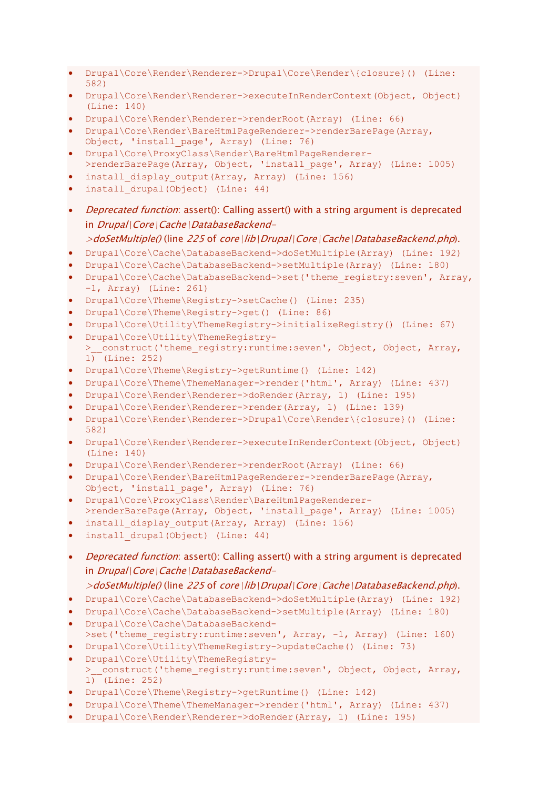- Drupal\Core\Render\Renderer->Drupal\Core\Render\{closure}() (Line: 582)
- Drupal\Core\Render\Renderer->executeInRenderContext(Object, Object) (Line: 140)
- Drupal\Core\Render\Renderer->renderRoot(Array) (Line: 66)
- Drupal\Core\Render\BareHtmlPageRenderer->renderBarePage(Array, Object, 'install\_page', Array) (Line: 76)
- Drupal\Core\ProxyClass\Render\BareHtmlPageRenderer-
- >renderBarePage(Array, Object, 'install\_page', Array) (Line: 1005)
- install display output(Array, Array) (Line: 156)
- install drupal(Object) (Line: 44)
- *Deprecated function*: assert(): Calling assert() with a string argument is deprecated in Drupal\Core\Cache\DatabaseBackend-

- Drupal\Core\Cache\DatabaseBackend->doSetMultiple(Array) (Line: 192)
- Drupal\Core\Cache\DatabaseBackend->setMultiple(Array) (Line: 180)
- Drupal\Core\Cache\DatabaseBackend->set('theme\_registry:seven', Array, -1, Array) (Line: 261)
- Drupal\Core\Theme\Registry->setCache() (Line: 235)
- Drupal\Core\Theme\Registry->get() (Line: 86)
- Drupal\Core\Utility\ThemeRegistry->initializeRegistry() (Line: 67)
- Drupal\Core\Utility\ThemeRegistry-
- > construct('theme\_registry:runtime:seven', Object, Object, Array, 1) (Line: 252)
- Drupal\Core\Theme\Registry->getRuntime() (Line: 142)
- Drupal\Core\Theme\ThemeManager->render('html', Array) (Line: 437)
- Drupal\Core\Render\Renderer->doRender(Array, 1) (Line: 195)
- Drupal\Core\Render\Renderer->render(Array, 1) (Line: 139)
- Drupal\Core\Render\Renderer->Drupal\Core\Render\{closure}() (Line: 582)
- Drupal\Core\Render\Renderer->executeInRenderContext(Object, Object) (Line: 140)
- Drupal\Core\Render\Renderer->renderRoot(Array) (Line: 66)
- Drupal\Core\Render\BareHtmlPageRenderer->renderBarePage(Array, Object, 'install\_page', Array) (Line: 76)
- Drupal\Core\ProxyClass\Render\BareHtmlPageRenderer- >renderBarePage(Array, Object, 'install page', Array) (Line: 1005)
- install display output(Array, Array) (Line: 156)
- install drupal(Object) (Line: 44)
- *Deprecated function*: assert(): Calling assert() with a string argument is deprecated in Drupal\Core\Cache\DatabaseBackend-
	- $>$ doSetMultiple() (line 225 of core\lib\Drupal\Core\Cache\DatabaseBackend.php).
- Drupal\Core\Cache\DatabaseBackend->doSetMultiple(Array) (Line: 192)
- Drupal\Core\Cache\DatabaseBackend->setMultiple(Array) (Line: 180)
- Drupal\Core\Cache\DatabaseBackend- >set('theme\_registry:runtime:seven', Array, -1, Array) (Line: 160)
- Drupal\Core\Utility\ThemeRegistry->updateCache() (Line: 73)
- Drupal\Core\Utility\ThemeRegistry- > \_construct('theme\_registry:runtime:seven', Object, Object, Array,  $1)$  (Line: 252)
- Drupal\Core\Theme\Registry->getRuntime() (Line: 142)
- Drupal\Core\Theme\ThemeManager->render('html', Array) (Line: 437)
- Drupal\Core\Render\Renderer->doRender(Array, 1) (Line: 195)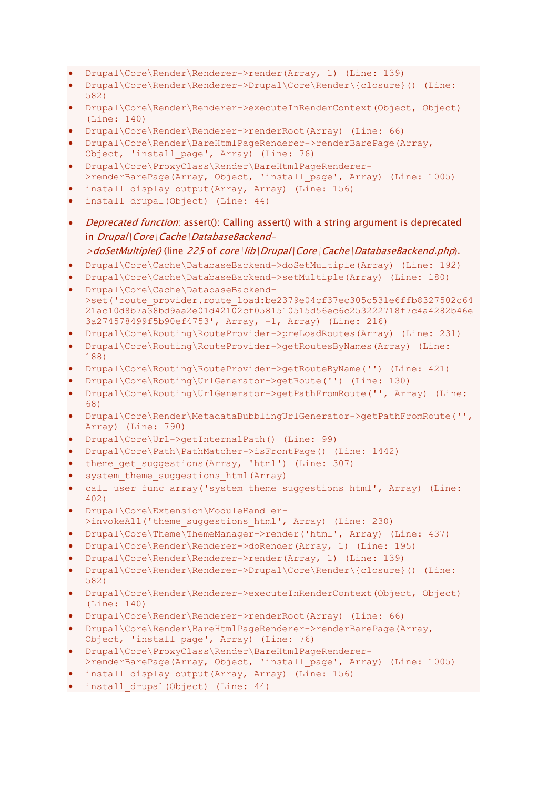- Drupal\Core\Render\Renderer->render(Array, 1) (Line: 139)
- Drupal\Core\Render\Renderer->Drupal\Core\Render\{closure}() (Line: 582)
- Drupal\Core\Render\Renderer->executeInRenderContext(Object, Object) (Line: 140)
- Drupal\Core\Render\Renderer->renderRoot(Array) (Line: 66)
- Drupal\Core\Render\BareHtmlPageRenderer->renderBarePage(Array, Object, 'install\_page', Array) (Line: 76)
- Drupal\Core\ProxyClass\Render\BareHtmlPageRenderer- >renderBarePage(Array, Object, 'install page', Array) (Line: 1005)
- install\_display\_output(Array, Array) (Line: 156)
- install drupal(Object) (Line: 44)
- *Deprecated function*: assert(): Calling assert() with a string argument is deprecated in Drupal\Core\Cache\DatabaseBackend-
	- >doSetMultiple() (line 225 of core\lib\Drupal\Core\Cache\DatabaseBackend.php).
- Drupal\Core\Cache\DatabaseBackend->doSetMultiple(Array) (Line: 192)
- Drupal\Core\Cache\DatabaseBackend->setMultiple(Array) (Line: 180)
- Drupal\Core\Cache\DatabaseBackend- >set('route\_provider.route\_load:be2379e04cf37ec305c531e6ffb8327502c64 21ac10d8b7a38bd9aa2e01d42102cf0581510515d56ec6c253222718f7c4a4282b46e 3a274578499f5b90ef4753', Array, -1, Array) (Line: 216)
- Drupal\Core\Routing\RouteProvider->preLoadRoutes(Array) (Line: 231)
- Drupal\Core\Routing\RouteProvider->getRoutesByNames(Array) (Line: 188)
- Drupal\Core\Routing\RouteProvider->getRouteByName('') (Line: 421)
- Drupal\Core\Routing\UrlGenerator->getRoute('') (Line: 130)
- Drupal\Core\Routing\UrlGenerator->getPathFromRoute('', Array) (Line: 68)
- Drupal\Core\Render\MetadataBubblingUrlGenerator->getPathFromRoute('', Array) (Line: 790)
- Drupal\Core\Url->getInternalPath() (Line: 99)
- Drupal\Core\Path\PathMatcher->isFrontPage() (Line: 1442)
- theme get suggestions(Array, 'html') (Line: 307)
- system theme suggestions html(Array)
- call user func array('system theme suggestions html', Array) (Line: 402)
- Drupal\Core\Extension\ModuleHandler- >invokeAll('theme suggestions html', Array) (Line: 230)
- Drupal\Core\Theme\ThemeManager->render('html', Array) (Line: 437)
- Drupal\Core\Render\Renderer->doRender(Array, 1) (Line: 195)
- Drupal\Core\Render\Renderer->render(Array, 1) (Line: 139)
- Drupal\Core\Render\Renderer->Drupal\Core\Render\{closure}() (Line: 582)
- Drupal\Core\Render\Renderer->executeInRenderContext(Object, Object) (Line: 140)
- Drupal\Core\Render\Renderer->renderRoot(Array) (Line: 66)
- Drupal\Core\Render\BareHtmlPageRenderer->renderBarePage(Array, Object, 'install page', Array) (Line: 76)
- Drupal\Core\ProxyClass\Render\BareHtmlPageRenderer- >renderBarePage(Array, Object, 'install page', Array) (Line: 1005)
- install display output(Array, Array) (Line: 156)
- install drupal(Object) (Line: 44)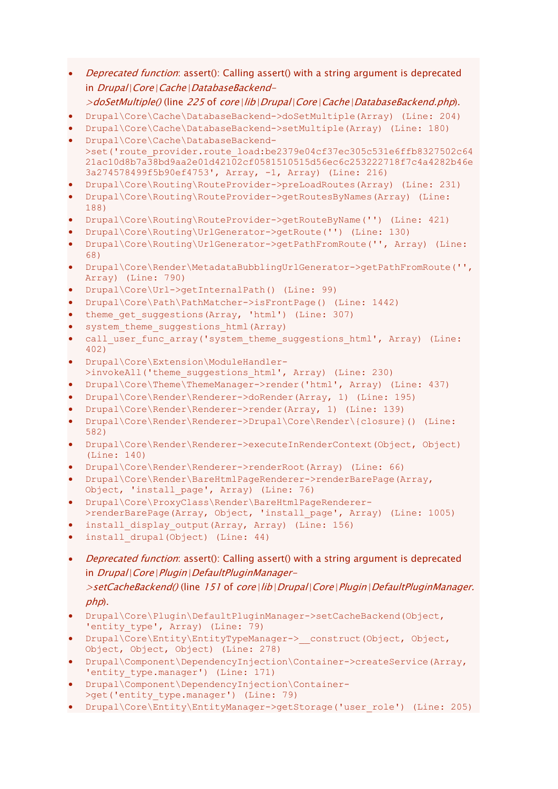- Deprecated function: assert(): Calling assert() with a string argument is deprecated in Drupal\Core\Cache\DatabaseBackend-
- $>$ doSetMultiple() (line 225 of core\lib\Drupal\Core\Cache\DatabaseBackend.php).
- Drupal\Core\Cache\DatabaseBackend->doSetMultiple(Array) (Line: 204)
- Drupal\Core\Cache\DatabaseBackend->setMultiple(Array) (Line: 180)
- Drupal\Core\Cache\DatabaseBackend- >set('route\_provider.route\_load:be2379e04cf37ec305c531e6ffb8327502c64 21ac10d8b7a38bd9aa2e01d42102cf0581510515d56ec6c253222718f7c4a4282b46e 3a274578499f5b90ef4753', Array, -1, Array) (Line: 216)
- Drupal\Core\Routing\RouteProvider->preLoadRoutes(Array) (Line: 231)
- Drupal\Core\Routing\RouteProvider->getRoutesByNames(Array) (Line: 188)
- Drupal\Core\Routing\RouteProvider->getRouteByName('') (Line: 421)
- Drupal\Core\Routing\UrlGenerator->getRoute('') (Line: 130)
- Drupal\Core\Routing\UrlGenerator->getPathFromRoute('', Array) (Line: 68)
- Drupal\Core\Render\MetadataBubblingUrlGenerator->getPathFromRoute('', Array) (Line: 790)
- Drupal\Core\Url->getInternalPath() (Line: 99)
- Drupal\Core\Path\PathMatcher->isFrontPage() (Line: 1442)
- theme get suggestions(Array, 'html') (Line: 307)
- system theme suggestions html (Array)
- call user func array('system theme suggestions html', Array) (Line: 402)
- Drupal\Core\Extension\ModuleHandler- >invokeAll('theme\_suggestions\_html', Array) (Line: 230)
- Drupal\Core\Theme\ThemeManager->render('html', Array) (Line: 437)
- Drupal\Core\Render\Renderer->doRender(Array, 1) (Line: 195)
- Drupal\Core\Render\Renderer->render(Array, 1) (Line: 139)
- Drupal\Core\Render\Renderer->Drupal\Core\Render\{closure}() (Line: 582)
- Drupal\Core\Render\Renderer->executeInRenderContext(Object, Object) (Line: 140)
- Drupal\Core\Render\Renderer->renderRoot(Array) (Line: 66)
- Drupal\Core\Render\BareHtmlPageRenderer->renderBarePage(Array, Object, 'install\_page', Array) (Line: 76)
- Drupal\Core\ProxyClass\Render\BareHtmlPageRenderer-
- >renderBarePage(Array, Object, 'install page', Array) (Line: 1005)
- install\_display output(Array, Array) (Line: 156)
- install drupal(Object) (Line: 44)
- *Deprecated function*: assert(): Calling assert() with a string argument is deprecated in Drupal\Core\Plugin\DefaultPluginManager->setCacheBackend() (line 151 of core\lib\Drupal\Core\Plugin\DefaultPluginManager.  $php$ ).
- Drupal\Core\Plugin\DefaultPluginManager->setCacheBackend(Object, 'entity type', Array) (Line: 79)
- Drupal\Core\Entity\EntityTypeManager-> construct(Object, Object, Object, Object, Object) (Line: 278)
- Drupal\Component\DependencyInjection\Container->createService(Array, 'entity type.manager') (Line: 171)
- Drupal\Component\DependencyInjection\Container- >get('entity\_type.manager') (Line: 79)
- Drupal\Core\Entity\EntityManager->getStorage('user\_role') (Line: 205)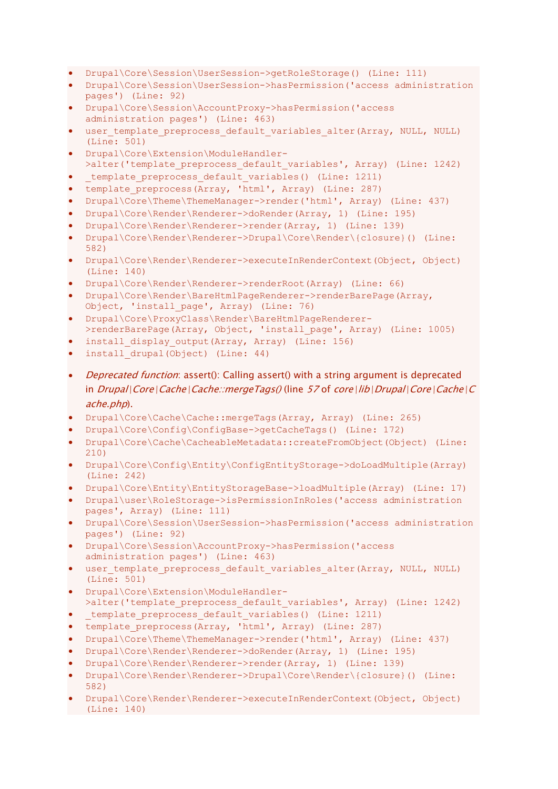- Drupal\Core\Session\UserSession->getRoleStorage() (Line: 111)
- Drupal\Core\Session\UserSession->hasPermission('access administration pages') (Line: 92)
- Drupal\Core\Session\AccountProxy->hasPermission('access administration pages') (Line: 463)
- user template preprocess default variables alter(Array, NULL, NULL) (Line: 501)
- Drupal\Core\Extension\ModuleHandler- >alter('template preprocess default variables', Array) (Line: 1242)
- template preprocess default variables() (Line: 1211)
- template preprocess(Array, 'html', Array) (Line: 287)
- Drupal\Core\Theme\ThemeManager->render('html', Array) (Line: 437)
- Drupal\Core\Render\Renderer->doRender(Array, 1) (Line: 195)
- Drupal\Core\Render\Renderer->render(Array, 1) (Line: 139)
- Drupal\Core\Render\Renderer->Drupal\Core\Render\{closure}() (Line: 582)
- Drupal\Core\Render\Renderer->executeInRenderContext(Object, Object) (Line: 140)
- Drupal\Core\Render\Renderer->renderRoot(Array) (Line: 66)
- Drupal\Core\Render\BareHtmlPageRenderer->renderBarePage(Array, Object, 'install\_page', Array) (Line: 76)
- Drupal\Core\ProxyClass\Render\BareHtmlPageRenderer- >renderBarePage(Array, Object, 'install page', Array) (Line: 1005)
- install display output(Array, Array) (Line: 156)
- install drupal(Object) (Line: 44)
- Deprecated function: assert(): Calling assert() with a string argument is deprecated in  $Drugal|Core|Cache|Cache::mergeTags()$  (line 57 of core\lib\Drupal\Core\Cache\C ache.php).
- Drupal\Core\Cache\Cache::mergeTags(Array, Array) (Line: 265)
- Drupal\Core\Config\ConfigBase->getCacheTags() (Line: 172)
- Drupal\Core\Cache\CacheableMetadata::createFromObject(Object) (Line: 210)
- Drupal\Core\Config\Entity\ConfigEntityStorage->doLoadMultiple(Array) (Line: 242)
- Drupal\Core\Entity\EntityStorageBase->loadMultiple(Array) (Line: 17)
- Drupal\user\RoleStorage->isPermissionInRoles('access administration pages', Array) (Line: 111)
- Drupal\Core\Session\UserSession->hasPermission('access administration pages') (Line: 92)
- Drupal\Core\Session\AccountProxy->hasPermission('access administration pages') (Line: 463)
- user template preprocess default variables alter(Array, NULL, NULL) (Line: 501)
- Drupal\Core\Extension\ModuleHandler- >alter('template\_preprocess\_default\_variables', Array) (Line: 1242)
- template preprocess default variables() (Line: 1211)
- template preprocess(Array, 'html', Array) (Line: 287)
- Drupal\Core\Theme\ThemeManager->render('html', Array) (Line: 437)
- Drupal\Core\Render\Renderer->doRender(Array, 1) (Line: 195)
- Drupal\Core\Render\Renderer->render(Array, 1) (Line: 139)
- Drupal\Core\Render\Renderer->Drupal\Core\Render\{closure}() (Line: 582)
- Drupal\Core\Render\Renderer->executeInRenderContext(Object, Object) (Line: 140)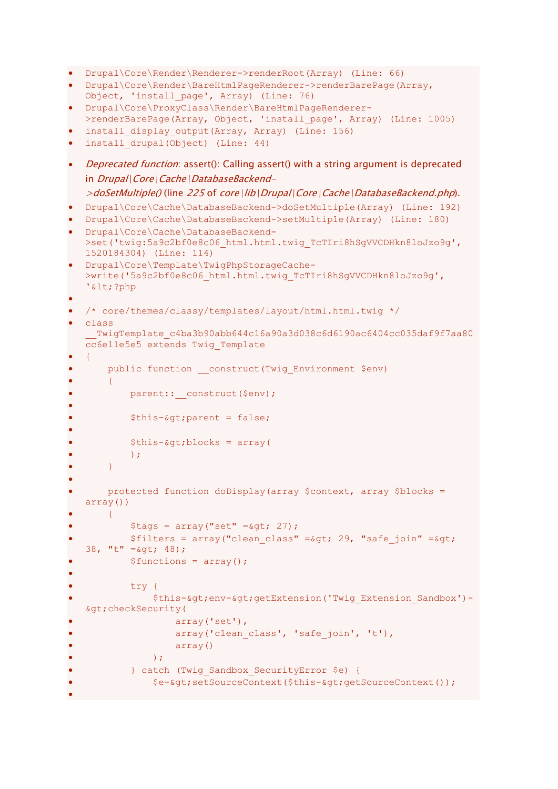```
• Drupal\Core\Render\Renderer->renderRoot(Array) (Line: 66)
• Drupal\Core\Render\BareHtmlPageRenderer->renderBarePage(Array, 
   Object, 'install_page', Array) (Line: 76)
• Drupal\Core\ProxyClass\Render\BareHtmlPageRenderer-
   >renderBarePage(Array, Object, 'install_page', Array) (Line: 1005)
 install display output(Array, Array) (Line: 156)
• install drupal(Object) (Line: 44)
• Deprecated function: assert(): Calling assert() with a string argument is deprecated
   in Drupal\Core\Cache\DatabaseBackend-
   >doSetMultiple() (line 225 of core\lib\Drupal\Core\Cache\DatabaseBackend.php).
  • Drupal\Core\Cache\DatabaseBackend->doSetMultiple(Array) (Line: 192)
 • Drupal\Core\Cache\DatabaseBackend->setMultiple(Array) (Line: 180)
• Drupal\Core\Cache\DatabaseBackend-
   >set('twig:5a9c2bf0e8c06_html.html.twig_TcTIri8hSgVVCDHkn8loJzo9g',
   1520184304) (Line: 114)
• Drupal\Core\Template\TwigPhpStorageCache-
   >write('5a9c2bf0e8c06_html.html.twig_TcTIri8hSgVVCDHkn8loJzo9g',
   '<?php
•
• /* core/themes/classy/templates/layout/html.html.twig */
  • class 
    TwigTemplate c4ba3b90abb644c16a90a3d038c6d6190ac6404cc035daf9f7aa80
   cc6e11e5e5 extends Twig_Template
• {
• public function __construct(Twig_Environment $env)
       \downarrowparent:: construct($env);
•
           $this ->i> = false;
•
           $this-> blocks = array(\rightarrow :
       • }
•
       • protected function doDisplay(array $context, array $blocks = 
   array())
       \{$tags = array("set" = $gt; 27);$filters = array("clean class" = $qt; 29, "safe join" = $qt;38, "t" =\sqrt{q}t; 48);
           $functions = array();
•
           try {
               $this->env->getExtension('Twig_Extension_Sandbox')-
   >checkSecurity(
                   array('set'),
                   array('clean class', 'safe join', 't'),
                   • array()
               \rightarrow• } catch (Twig_Sandbox_SecurityError $e) {
               • $e->setSourceContext($this->getSourceContext());
```
•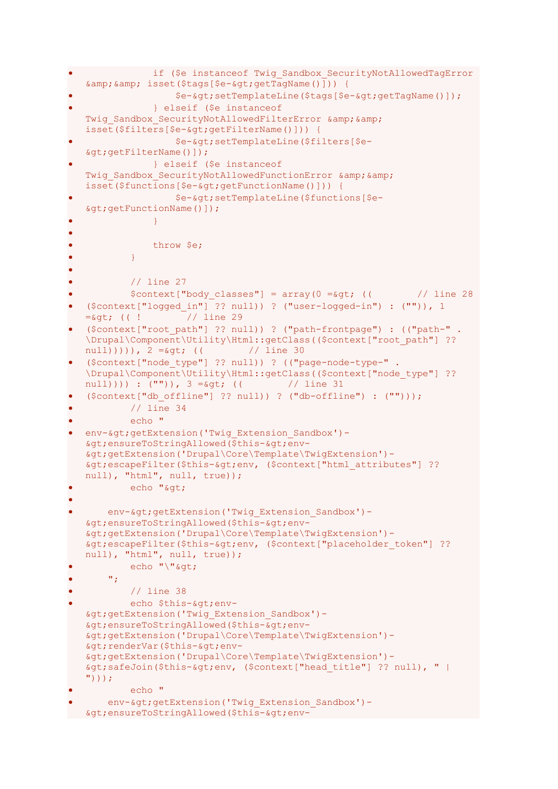```
if ($e instanceof Twig Sandbox SecurityNotAllowedTagError
   \&; \&; \&; \&isset(\$tags[\$e-\>gt;;getTagName()])) { }• $e->setTemplateLine($tags[$e->getTagName()]);
               • } elseif ($e instanceof 
  Twig Sandbox SecurityNotAllowedFilterError & &
  isset($filters[$e->getFilterName()])) {
                   • $e->setTemplateLine($filters[$e-
   >getFilterName()]);
               • } elseif ($e instanceof 
  Twig Sandbox SecurityNotAllowedFunctionError & &
   isset($functions[$e-&qt;qetFunctionName()])) {
                   • $e->setTemplateLine($functions[$e-
   >getFunctionName()]);
\bullet \bullet \bullet \bullet \bullet \bullet \bullet \bullet•
               • throw $e;
\bullet \bullet \bullet \bullet \bullet \bullet•
           • // line 27
           $context['body classes"] = array(0 = \sqrt{6}t; (( ) // line 28
   • ($context["logged_in"] ?? null)) ? ("user-logged-in") : ("")), 1 
  =\sqrt{9}t; (( ! // line 29
  • ($context["root_path"] ?? null)) ? ("path-frontpage") : (("path-" . 
  \Drupal\Component\Utility\Html::getClass(($context["root path"] ??
  null))))), 2 = G(t) (( // line 30
  • ($context["node_type"] ?? null)) ? (("page-node-type-" . 
   \Drupal\Component\Utility\Html::getClass(($context["node_type"] ?? 
  null)))) : ("")), 3 = \sqrt{5} (( // line 31
  ({\text{Stontext}}[{\text{d}}{\text{b}}\text{ of }{\text{fline}}" ] ?? null)) ? ("db-offline") : ("")));
           // line 34
           echo "
 env->getExtension('Twig Extension Sandbox')-
  >ensureToStringAllowed($this->env-
  >getExtension('Drupal\Core\Template\TwigExtension')-
  \texttt{kgt}; escapeFilter($this-> env, ($context["html attributes"] ??
  null), "html", null, true));
           echo "&qt:
• 
       env-> getExtension ('Twig_Extension_Sandbox')-
   >ensureToStringAllowed($this->env-
   >getExtension('Drupal\Core\Template\TwigExtension')-
   > ; escapeFilter($this-> ; env, ($context["placeholder token"] ??
  null), "html", null, true));
           echo "\">
       W_{\rm eff} .
           // line 38
           echo $this-&qt;env-
  >getExtension('Twig_Extension_Sandbox')-
  >ensureToStringAllowed($this->env-
   >getExtension('Drupal\Core\Template\TwigExtension')-
   >renderVar($this->env-
   >getExtension('Drupal\Core\Template\TwigExtension')-
   > safeJoin($this->env, ($context["head title"] ?? null), " |
   \mathbf{''})));
           • echo "
      env-> getExtension ('Twig_Extension_Sandbox')-
 >ensureToStringAllowed($this->env-
```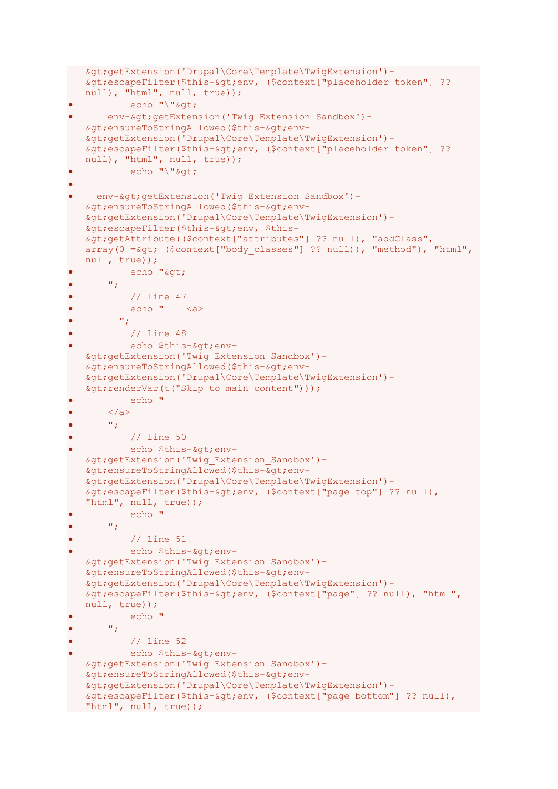```
>getExtension('Drupal\Core\Template\TwigExtension')-
   > ; escapeFilter($this-> env, ($context["placeholder token"] ??
   null), "html", null, true));
           echo "\"&qt;
• env->getExtension('Twig Extension Sandbox')-
   >ensureToStringAllowed($this->env-
   >getExtension('Drupal\Core\Template\TwigExtension')-
   \sqrt{t}; escapeFilter($this-> env, ($context["placeholder token"] ??
   null), "html", null, true));
           echo "\sqrt{a}at;
• 
     env-> getExtension ('Twig_Extension_Sandbox')-
   >ensureToStringAllowed($this->env-
   >getExtension('Drupal\Core\Template\TwigExtension')-
   > escapeFilter($this-> env, $this-
   >getAttribute(($context["attributes"] ?? null), "addClass", 
   array(0 =*sgt; 0; 0, 0) array(0 = \statistarray ($context["body_classes"] ?? null)), "method"), "html",
   null, true));
           echo "&qt;
       \mathbf{w}_{\mathcal{X}}\frac{1}{\sqrt{2}} line 47
           • echo " <a>
         \mathbf{w}_{\mathbf{r}}// line 48
           echo $this-&qt;env-
   >getExtension('Twig_Extension_Sandbox')-
   >ensureToStringAllowed($this->env-
   >getExtension('Drupal\Core\Template\TwigExtension')-
   sqt; renderVar(t("Skip to main content")));
           echo "
       \langlea>
       ^{\prime\prime} ;
           // line 50
           echo $this-> env-
   >getExtension('Twig_Extension_Sandbox')-
   >ensureToStringAllowed($this->env-
   >getExtension('Drupal\Core\Template\TwigExtension')-
   &qt; escapeFilter($this-&qt; env, ($context["page_top"] ?? null),
   "html", null, true));
           • echo "
       W_{\rm eff} .
           • // line 51
           echo $this->env-
   >getExtension('Twig_Extension_Sandbox')-
   >ensureToStringAllowed($this->env-
   >getExtension('Drupal\Core\Template\TwigExtension')-
   \> ; escapeFilter($this->env, ($context["page"] ?? null), "html",
   null, true));
           • echo "
       \mathbf{w}_{\mathbf{p}}• // line 52
           echo $this-&qt;env-
   >getExtension('Twig_Extension_Sandbox')-
   >ensureToStringAllowed($this->env-
   >getExtension('Drupal\Core\Template\TwigExtension')-
   \sqrt{t}; escapeFilter($this-\sqrt{t}gt; env, ($context["page bottom"] ?? null),
"html", null, true));
```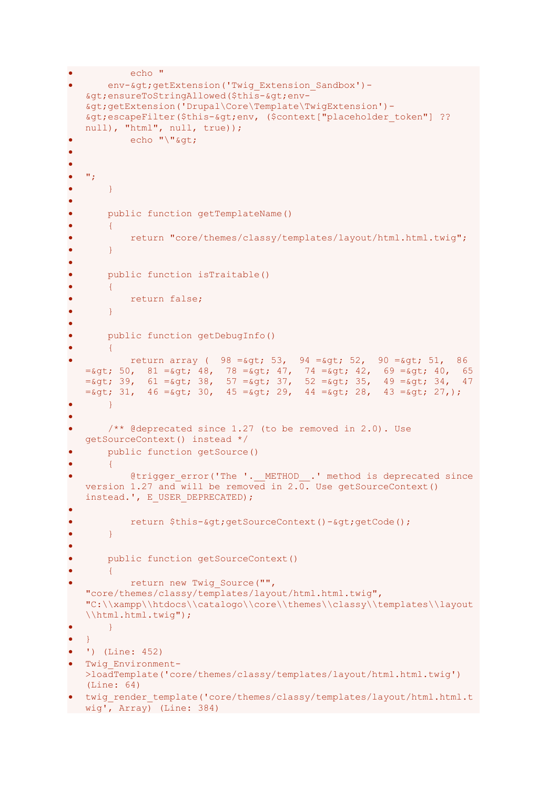```
echo "
        env-> getExtension ('Twig_Extension_Sandbox')-
   >ensureToStringAllowed($this->env-
   >getExtension('Drupal\Core\Template\TwigExtension')-
   \texttt{kgt}; escapeFilter($this-> env, ($context["placeholder token"] ??
   null), "html", null, true));
            echo "\sqrt{a}at;
• 
•
\bullet \bullet ";
        • }
•
• public function getTemplateName()
\bullet \qquad \qquad \{• return "core/themes/classy/templates/layout/html.html.twig";
        • }
•
       • public function isTraitable()
        \left\{ \right.• return false;
\bullet \qquad }
•
        • public function getDebugInfo()
\bullet \qquad \{return array ( 98 = \sqrt{53}, 94 = \sqrt{52}, 90 = \sqrt{51}, 86=\epsilon_{gt}; 50, 81 =\epsilon_{gt}; 48, 78 =\epsilon_{gt}; 47, 74 =\epsilon_{gt}; 42, 69 =\epsilon_{gt}; 40, 65
   =\epsilon_{gt}; 39, 61 =\epsilon_{gt}; 38, 57 =\epsilon_{gt}; 37, 52 =\epsilon_{gt}; 35, 49 =\epsilon_{gt}; 34, 47
   =\sqrt{2}; 31, 46 =\sqrt{2}; 30, 45 =\sqrt{2}; 29, 44 =\sqrt{2}; 28, 43 =\sqrt{2}; 27,);
\bullet }
•
        \frac{1}{2} /** @deprecated since 1.27 (to be removed in 2.0). Use
   getSourceContext() instead */
        public function getSource()
\bullet \qquad \qquad \{@trigger error('The '. METHOD .' method is deprecated since
   version 1.27 and will be removed in 2.\overline{0}. Use getSourceContext()
   instead.', E_USER_DEPRECATED);
•
            return $this->getSourceContext()->getCode();
        • }
•
       public function getSourceContext()
        \left\{ \right\}return new Twig Source("",
   "core/themes/classy/templates/layout/html.html.twig", 
   "C:\\xampp\\htdocs\\catalogo\\core\\themes\\classy\\templates\\layout
   \\html.html.twig");
\bullet \qquad }
\bullet }
   • ') (Line: 452)
  • Twig_Environment-
   >loadTemplate('core/themes/classy/templates/layout/html.html.twig') 
   (Line: 64)
• twig render template('core/themes/classy/templates/layout/html.html.t
wig', Array) (Line: 384)
```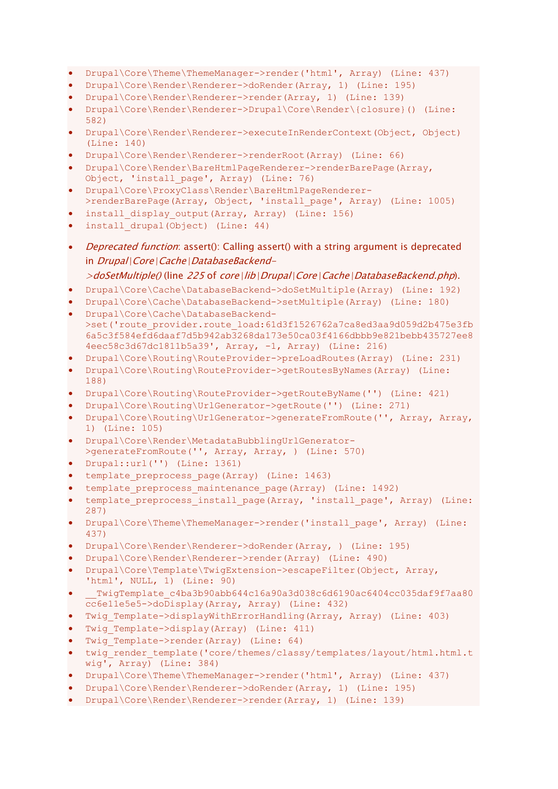- Drupal\Core\Theme\ThemeManager->render('html', Array) (Line: 437)
- Drupal\Core\Render\Renderer->doRender(Array, 1) (Line: 195)
- Drupal\Core\Render\Renderer->render(Array, 1) (Line: 139)
- Drupal\Core\Render\Renderer->Drupal\Core\Render\{closure}() (Line: 582)
- Drupal\Core\Render\Renderer->executeInRenderContext(Object, Object) (Line: 140)
- Drupal\Core\Render\Renderer->renderRoot(Array) (Line: 66)
- Drupal\Core\Render\BareHtmlPageRenderer->renderBarePage(Array, Object, 'install\_page', Array) (Line: 76)
- Drupal\Core\ProxyClass\Render\BareHtmlPageRenderer-
- >renderBarePage(Array, Object, 'install page', Array) (Line: 1005)
- install display output(Array, Array) (Line: 156)
- install drupal(Object) (Line: 44)
- *Deprecated function*: assert(): Calling assert() with a string argument is deprecated in Drupal\Core\Cache\DatabaseBackend-

- Drupal\Core\Cache\DatabaseBackend->doSetMultiple(Array) (Line: 192)
- Drupal\Core\Cache\DatabaseBackend->setMultiple(Array) (Line: 180)
- Drupal\Core\Cache\DatabaseBackend- >set('route\_provider.route\_load:61d3f1526762a7ca8ed3aa9d059d2b475e3fb 6a5c3f584efd6daaf7d5b942ab3268da173e50ca03f4166dbbb9e821bebb435727ee8 4eec58c3d67dc1811b5a39', Array, -1, Array) (Line: 216)
- Drupal\Core\Routing\RouteProvider->preLoadRoutes(Array) (Line: 231)
- Drupal\Core\Routing\RouteProvider->getRoutesByNames(Array) (Line: 188)
- Drupal\Core\Routing\RouteProvider->getRouteByName('') (Line: 421)
- Drupal\Core\Routing\UrlGenerator->getRoute('') (Line: 271)
- Drupal\Core\Routing\UrlGenerator->generateFromRoute('', Array, Array, 1) (Line: 105)
- Drupal\Core\Render\MetadataBubblingUrlGenerator- >generateFromRoute('', Array, Array, ) (Line: 570)
- Drupal::url('') (Line: 1361)
- template preprocess page(Array) (Line: 1463)
- template preprocess maintenance page(Array) (Line: 1492)
- template preprocess install page(Array, 'install\_page', Array) (Line: 287)
- Drupal\Core\Theme\ThemeManager->render('install\_page', Array) (Line: 437)
- Drupal\Core\Render\Renderer->doRender(Array, ) (Line: 195)
- Drupal\Core\Render\Renderer->render(Array) (Line: 490)
- Drupal\Core\Template\TwigExtension->escapeFilter(Object, Array, 'html', NULL, 1) (Line: 90)
- \_\_TwigTemplate\_c4ba3b90abb644c16a90a3d038c6d6190ac6404cc035daf9f7aa80 cc6e11e5e5->doDisplay(Array, Array) (Line: 432)
- Twig Template->displayWithErrorHandling(Array, Array) (Line: 403)
- Twig Template->display(Array) (Line: 411)
- Twig Template->render(Array) (Line: 64)
- twig render template('core/themes/classy/templates/layout/html.html.t wig', Array) (Line: 384)
- Drupal\Core\Theme\ThemeManager->render('html', Array) (Line: 437)
- Drupal\Core\Render\Renderer->doRender(Array, 1) (Line: 195)
- Drupal\Core\Render\Renderer->render(Array, 1) (Line: 139)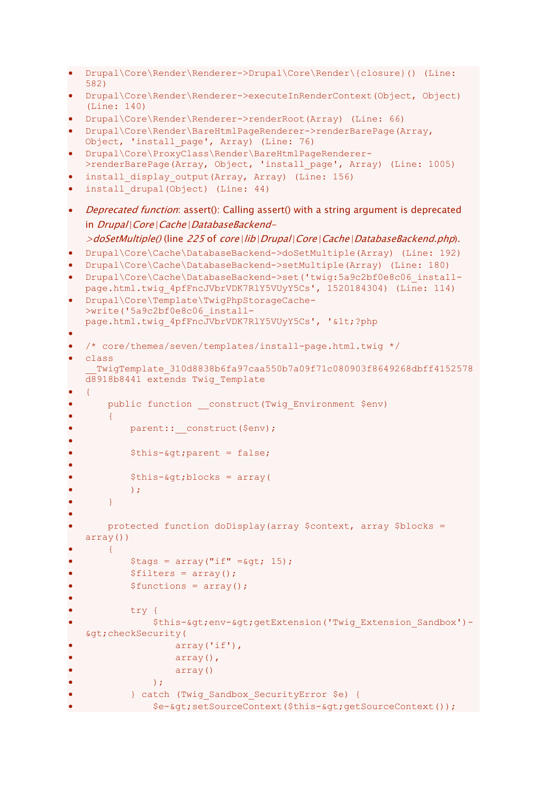```
• Drupal\Core\Render\Renderer->Drupal\Core\Render\{closure}() (Line: 
   582)
 • Drupal\Core\Render\Renderer->executeInRenderContext(Object, Object) 
   (Line: 140)
• Drupal\Core\Render\Renderer->renderRoot(Array) (Line: 66)
• Drupal\Core\Render\BareHtmlPageRenderer->renderBarePage(Array, 
   Object, 'install_page', Array) (Line: 76)
 • Drupal\Core\ProxyClass\Render\BareHtmlPageRenderer-
  >renderBarePage(Array, Object, 'install page', Array) (Line: 1005)
 install display output(Array, Array) (Line: 156)
  install drupal(Object) (Line: 44)
 Deprecated function: assert(): Calling assert() with a string argument is deprecated
   in Drupal\Core\Cache\DatabaseBackend-
   >doSetMultiple() (line 225 of core\lib\Drupal\Core\Cache\DatabaseBackend.php).
  • Drupal\Core\Cache\DatabaseBackend->doSetMultiple(Array) (Line: 192)
  • Drupal\Core\Cache\DatabaseBackend->setMultiple(Array) (Line: 180)
 • Drupal\Core\Cache\DatabaseBackend->set('twig:5a9c2bf0e8c06_install-
   page.html.twig 4pfFncJVbrVDK7RlY5VUyY5Cs', 1520184304) (Line: 114)
  • Drupal\Core\Template\TwigPhpStorageCache-
  >write('5a9c2bf0e8c06_install-
   page.html.twig_4pfFncJVbrVDK7RlY5VUyY5Cs', '<?php
•
  • /* core/themes/seven/templates/install-page.html.twig */
  • class 
     __TwigTemplate_310d8838b6fa97caa550b7a09f71c080903f8649268dbff4152578
   d8918b8441 extends Twig_Template
• {
• public function construct(Twig Environment $env)
       \left| \cdot \right|parent:: construct($env);
•
           $this->parent = false;•
           $this-\&qt;\text{blocks} = array(\rightarrow ;
       • }
•
       • protected function doDisplay(array $context, array $blocks = 
   array())
       • {
           $tags = array("if" = _*gt; 15);$filters = array();$functions = array();
•
           try {
               $this-> env-> getExtension ('Twig_Extension_Sandbox')-
   >checkSecurity(
                    • array('if'),
                    array(),
                    • array()
               \rightarrow ;
           • } catch (Twig_Sandbox_SecurityError $e) {
               • $e->setSourceContext($this->getSourceContext());
```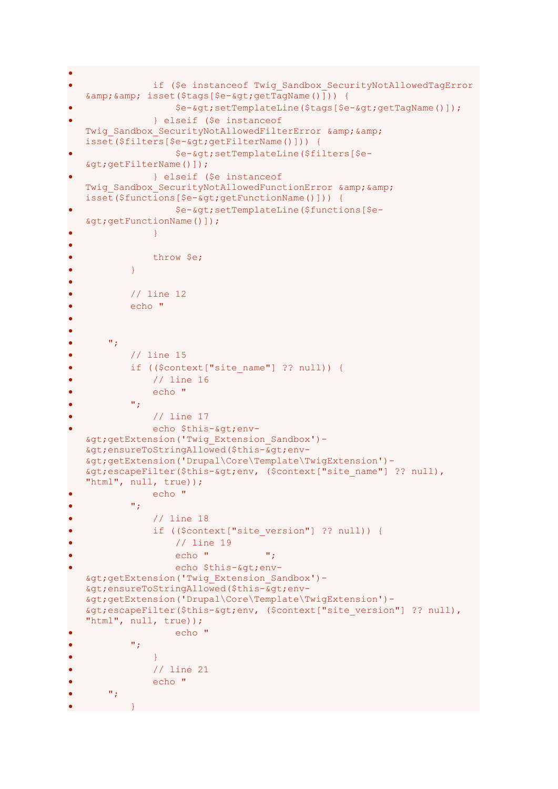```
•
                if ($e instanceof Twig Sandbox SecurityNotAllowedTagError
   \&; \&; \&; \&isset(\$tags[\$e-\>gt;;getTagName())]) {
                     • $e->setTemplateLine($tags[$e->getTagName()]);
                 • } elseif ($e instanceof 
   Twig Sandbox SecurityNotAllowedFilterError & &
   isset($filters[$e->getFilterName()])) {
                     • $e->setTemplateLine($filters[$e-
   >getFilterName()]);
                • } elseif ($e instanceof 
   Twig Sandbox SecurityNotAllowedFunctionError & &
   isset($functions[$e->getFunctionName()])) {
                     • $e->setTemplateLine($functions[$e-
   >getFunctionName()]);
\bullet \bullet \bullet \bullet \bullet \bullet \bullet \bullet•
                 • throw $e;
\bullet \qquad \qquad \}•
            // line 12
            • echo "
•
• 
       \mathbf{w}_{\mathcal{F}}• // line 15
            if (($context["site name"] ?? null)) {
                 • // line 16
                 echo "
            \mathbf{w}_{\mathbf{r}}• // line 17
                echo $this-&qt;env-
   >getExtension('Twig_Extension_Sandbox')-
   >ensureToStringAllowed($this->env-
   >getExtension('Drupal\Core\Template\TwigExtension')-
   \> ; escapeFilter($this-\>gt; env, ($context["site name"] ?? null),
   "html", null, true));
                 echo "
            \mathbf{w}_{\mathcal{T}}• // line 18
                 if (($context["site version"] ?? null)) {
                     • // line 19
                     echo " " :
                     echo $this-> env-
   >getExtension('Twig_Extension_Sandbox')-
   >ensureToStringAllowed($this->env-
   >getExtension('Drupal\Core\Template\TwigExtension')-
   > ; escapeFilter($this-> env, ($context["site version"] ?? null),
   "html", null, true));
                     echo "
            \mathbf{w}_{\mathbf{y}}\bullet \bullet \bullet \bullet \bullet \bullet \bullet \bullet// line 21
                 echo "
       \mathbf{v}_{j}\bullet \qquad \qquad \}
```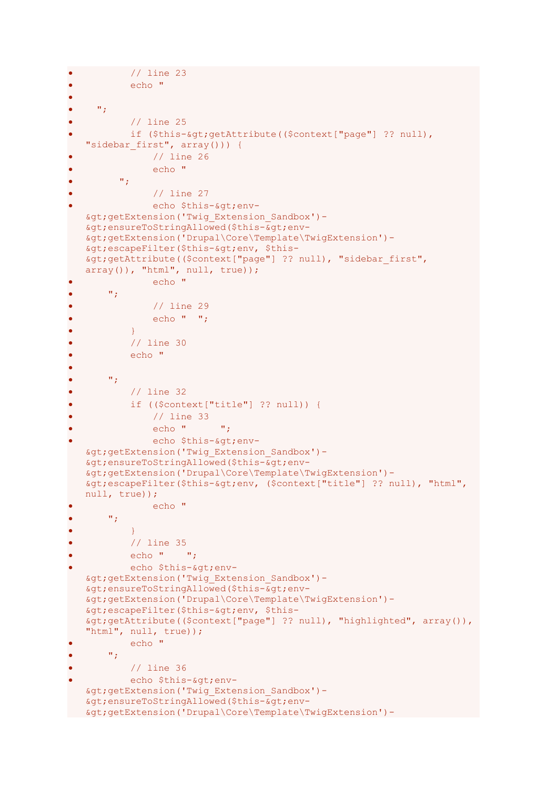```
// line 23
• echo " 
•
     \mathbf{w}_j// line 25
           if ($this->getAttribute(($context["page"] ?? null),
   "sidebar first", array())) {
                • // line 26
                • echo " 
         \mathbf{w}_{\mathbf{z}}• // line 27
                echo $this-> env-
   >getExtension('Twig_Extension_Sandbox')-
   >; ensureToStringAllowed($this->gt; env-
   >getExtension('Drupal\Core\Template\TwigExtension')-
   \sqrt{g}t; escapeFilter ($this-> env, $this-
   >getAttribute(($context["page"] ?? null), "sidebar_first", 
   array( ), "html", null, true) );
                echo "
       ^{\prime\prime} ;
                • // line 29
                echo " ";
\bullet \qquad \qquad \}• // line 30
           echo "
• 
       \mathbf{w}_{\mathcal{F}}• // line 32
           • if (($context["title"] ?? null)) {
                • // line 33
                echo " "echo $this->env-
   >getExtension('Twig_Extension_Sandbox')-
   >ensureToStringAllowed($this->env-
   >getExtension('Drupal\Core\Template\TwigExtension')-
   \text{Set}; escapeFilter($this-&qt; env, ($context["title"] ?? null), "html",
   null, true));
               echo "
       • ";
\bullet \bullet \bullet \bullet \bullet \bullet• // line 35
           echo " ";
           echo $this->env-
   >getExtension('Twig_Extension_Sandbox')-
   >ensureToStringAllowed($this->env-
   >getExtension('Drupal\Core\Template\TwigExtension')-
   >escapeFilter($this->env, $this-
   >getAttribute(($context["page"] ?? null), "highlighted", array()), 
   "html", null, true));
           • echo "
       \mathbf{w}_{\mathbf{p}}• // line 36
           echo $this-> env-
   >getExtension('Twig_Extension_Sandbox')-
   >ensureToStringAllowed($this->env-
>getExtension('Drupal\Core\Template\TwigExtension')-
```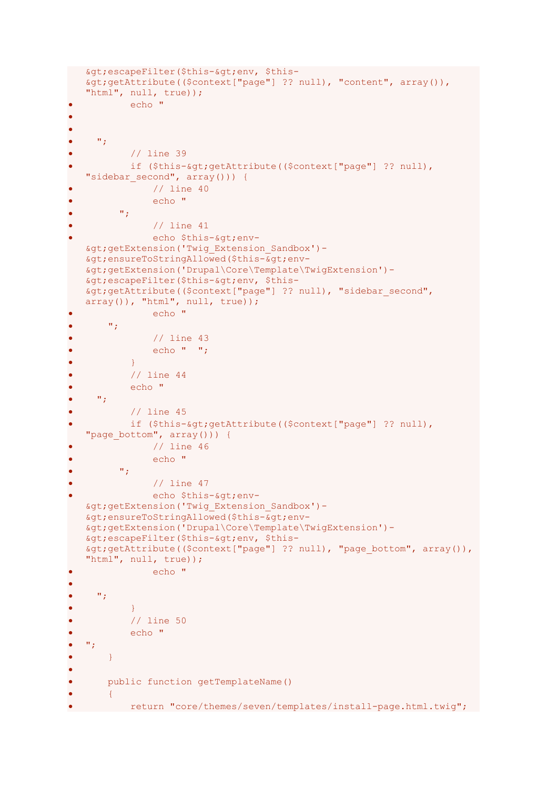```
> escapeFilter($this-> env, $this-
   >getAttribute(($context["page"] ?? null), "content", array()), 
   "html", null, true));
            • echo "
• 
•
     \mathbf{w}_{j}• // line 39
           if ($this->getAttribute(($context["page"] ?? null),
   "sidebar second", array())) {
                // line 40
                • echo " 
          \mathbf{w}_{\mathcal{F}}// line 41
                echo $this->env-
   >getExtension('Twig_Extension_Sandbox')-
   >ensureToStringAllowed($this->env-
   >getExtension('Drupal\Core\Template\TwigExtension')-
   > escapeFilter($this-> env, $this-
   >getAttribute(($context["page"] ?? null), "sidebar_second", 
   array()), "html", null, true));
                echo "
       \mathbf{w}_{\mathbf{y}}// line 43
                echo " ";
\bullet \qquad \qquad \}• // line 44
• echo "
     \mathbf{w}_{j}// line 45
            if ($this-&qt; qetAttribute(($context["page"] ?? null),
   "page bottom", array())) {
                • // line 46
                • echo " 
          \mathbf{w}_{\mathbf{y}}// line 47
                echo $this->env-
   >getExtension('Twig_Extension_Sandbox')-
   >ensureToStringAllowed($this->env-
   >getExtension('Drupal\Core\Template\TwigExtension')-
   > escapeFilter($this-> env, $this-
   \sqrt{q}t; getAttribute((\sqrt{q}context["page"] ?? null), "page bottom", array()),
   "html", null, true));
                • echo "
• 
\bullet \bullet \bullet \bullet \bullet\bullet \qquad \qquad \}• // line 50
• echo "
\bullet \bullet ";
       • }
•
• public function getTemplateName()
       \{• return "core/themes/seven/templates/install-page.html.twig";
```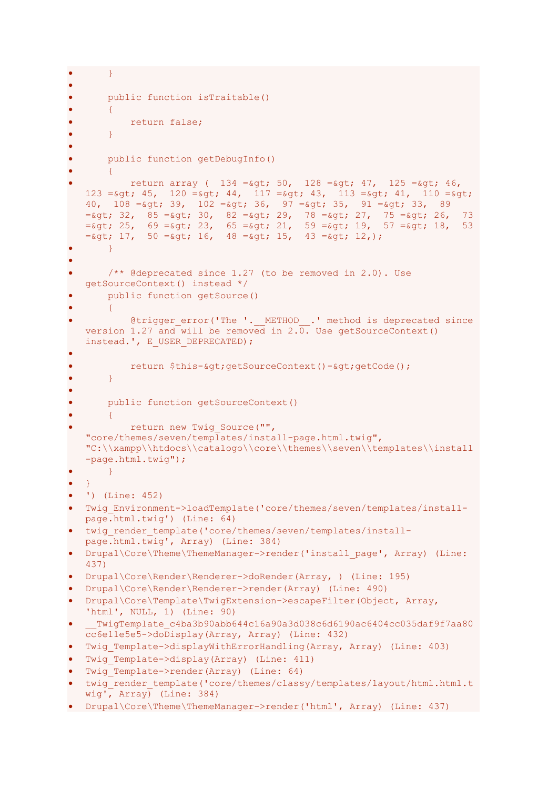```
\bullet \}•
       • public function isTraitable()
\bullet \qquad \qquad \{• return false;
\bullet \qquad }
•
       • public function getDebugInfo()
\bullet \qquad \qquad \{return array ( 134 = \sqrt{50}, 128 = \sqrt{51}, 125 = \sqrt{51}, 16,
   123 = \epsilon_0 t, 45, 120 = \epsilon_0 t, 44, 117 = \epsilon_0 t, 43, 113 = \epsilon_0 t, 41, 110 = \epsilon_0 t;
   40, 108 = \text{kgt}; 39, 102 = \text{kgt}; 36, 97 = \text{kgt}; 35, 91 = \text{kgt}; 33, 89
   = sgt; 32, 85 =sgt; 30, 82 =sgt; 29, 78 =sgt; 27, 75 =sgt; 26, 73
   =sgt; 25, 69 =sgt; 23, 65 =sgt; 21, 59 =sgt; 19, 57 =sgt; 18, 53
   =\sqrt{5}, 17, 50 =\sqrt{5}; 16, 48 =\sqrt{5}; 15, 43 =\sqrt{5}; 12,);
\bullet \qquad }
•
       /** @deprecated since 1.27 (to be removed in 2.0). Use
   getSourceContext() instead */
       public function getSource()
\bullet \qquad \{@trigger error('The '. METHOD .' method is deprecated since
   version 1.27 and will be removed in 2.0. Use getSourceContext() 
   instead.', E_USER_DEPRECATED);
•
            return $this-&qt; qetSourceContext()-&qt; qetCode();
       • }
•
       public function getSourceContext()
       \{ \}return new Twig Source("",
   "core/themes/seven/templates/install-page.html.twig", 
   "C:\\xampp\\htdocs\\catalogo\\core\\themes\\seven\\templates\\install
   -page.html.twig");
       • }
   • }
• ') (Line: 452)
  • Twig_Environment->loadTemplate('core/themes/seven/templates/install-
   page.html.twig') (Line: 64)
   twig render template('core/themes/seven/templates/install-
   page.html.twig', Array) (Line: 384)
   Drupal\Core\Theme\ThemeManager->render('install page', Array) (Line:
   437)
 • Drupal\Core\Render\Renderer->doRender(Array, ) (Line: 195)
  • Drupal\Core\Render\Renderer->render(Array) (Line: 490)
• Drupal\Core\Template\TwigExtension->escapeFilter(Object, Array, 
   'html', NULL, 1) (Line: 90)
     TwigTemplate_c4ba3b90abb644c16a90a3d038c6d6190ac6404cc035daf9f7aa80
   cc6e11e5e5->doDisplay(Array, Array) (Line: 432)
   Twig Template->displayWithErrorHandling(Array, Array) (Line: 403)
• Twig Template->display(Array) (Line: 411)
  Twig Template->render(Array) (Line: 64)
  twig_render_template('core/themes/classy/templates/layout/html.html.t
   wig', Array) (Line: 384)
• Drupal\Core\Theme\ThemeManager->render('html', Array) (Line: 437)
```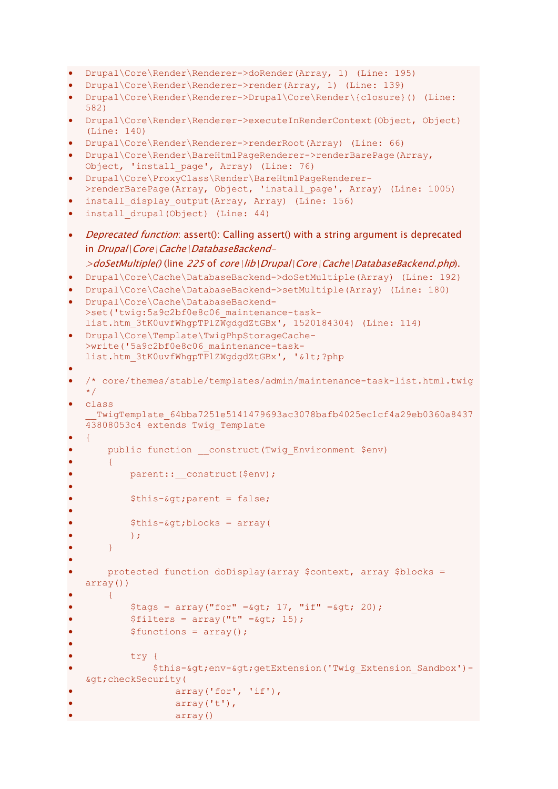```
• Drupal\Core\Render\Renderer->doRender(Array, 1) (Line: 195)
```

```
• Drupal\Core\Render\Renderer->render(Array, 1) (Line: 139)
```
- Drupal\Core\Render\Renderer->Drupal\Core\Render\{closure}() (Line: 582)
- Drupal\Core\Render\Renderer->executeInRenderContext(Object, Object) (Line: 140)
- Drupal\Core\Render\Renderer->renderRoot(Array) (Line: 66)

```
• Drupal\Core\Render\BareHtmlPageRenderer->renderBarePage(Array, 
 Object, 'install page', Array) (Line: 76)
```

```
• Drupal\Core\ProxyClass\Render\BareHtmlPageRenderer-
  >renderBarePage(Array, Object, 'install_page', Array) (Line: 1005)
```

```
install display output(Array, Array) (Line: 156)
```
- install drupal(Object) (Line: 44)
- Deprecated function: assert(): Calling assert() with a string argument is deprecated in Drupal\Core\Cache\DatabaseBackend-

```
>doSetMultiple() (line 225 of core\lib\Drupal\Core\Cache\DatabaseBackend.php).
```

```
• Drupal\Core\Cache\DatabaseBackend->doSetMultiple(Array) (Line: 192)
```

```
• Drupal\Core\Cache\DatabaseBackend->setMultiple(Array) (Line: 180)
```

```
• Drupal\Core\Cache\DatabaseBackend-
  >set('twig:5a9c2bf0e8c06 maintenance-task-
  list.htm_3tK0uvfWhgpTPlZWgdgdZtGBx', 1520184304) (Line: 114)
```

```
• Drupal\Core\Template\TwigPhpStorageCache-
  >write('5a9c2bf0e8c06_maintenance-task-
  list.htm 3tK0uvfWhgpTPlZWgdgdZtGBx', '<?php
```

```
•
• /* core/themes/stable/templates/admin/maintenance-task-list.html.twig 
   \star /
```

```
• class 
  TwigTemplate 64bba7251e5141479693ac3078bafb4025ec1cf4a29eb0360a8437
43808053c4 extends Twig_Template
```

```
• {
```
•

•

•

•

```
public function    construct(Twig Environment $env)
```

```
• {
    parent:: construct($env);
```

```
$this-\&qt;parent = false;
```

```
$this-> blocks = array(
```

```
\rightarrow;
```

```
• }
```

```
• protected function doDisplay(array $context, array $blocks = 
array())
```

```
• {
    $tags = array("for" = $gt; 17, "if" = $gt; 20);$filters = array("t" = _*gt; 15);
```

```
$functions = array();
```

```
• try {
            $this-&qt;env-&qt;qetExtension('Twig_Extension_Sandbox')-
>checkSecurity(
                • array('for', 'if'),
                • array('t'),
                • array()
```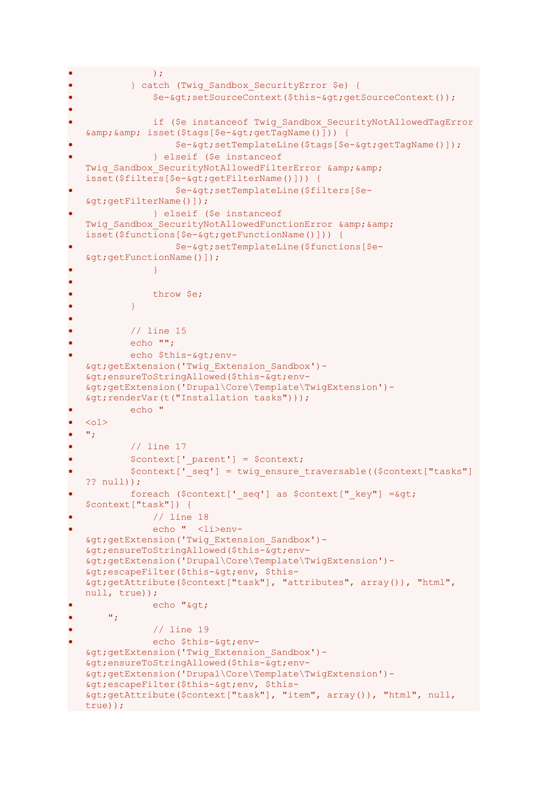```
\bullet );
           • } catch (Twig_Sandbox_SecurityError $e) {
                • $e->setSourceContext($this->getSourceContext());
•
               if ($e instanceof Twig Sandbox SecurityNotAllowedTagError
   \& j\& j\&sset(\$tags[\$e-\>gt; getTagName())\) {
                    • $e->setTemplateLine($tags[$e->getTagName()]);
                • } elseif ($e instanceof 
   Twig Sandbox SecurityNotAllowedFilterError & &
   isset($filters[$e->getFilterName()])) {
                    • $e->setTemplateLine($filters[$e-
   >getFilterName()]);
               • } elseif ($e instanceof 
   Twig Sandbox SecurityNotAllowedFunctionError & &
   isset($functions[$e->getFunctionName()])) {
                    • $e->setTemplateLine($functions[$e-
   >getFunctionName()]);
\bullet \bullet \bullet \bullet \bullet \bullet \bullet \bullet•
               • throw $e;
\bullet \bullet \bullet \bullet \bullet \bullet•
           • // line 15
           echo "";
           echo $this-> env-
   >getExtension('Twig_Extension_Sandbox')-
   >ensureToStringAllowed($this->env-
   >getExtension('Drupal\Core\Template\TwigExtension')-
   >renderVar(t("Installation tasks")));
           • echo "
\bullet \quad <\circ 1>^{\mathrm{w}} ;
           // line 17
           $context['parent'] = $context;• $context['_seq'] = twig_ensure_traversable(($context["tasks"] 
   ?? null));
           foreach ($context[' seq'] as $context[" key"] =\&qqt;
   $context["task"]) {
               • // line 18
               • echo " <li>env-
   >getExtension('Twig_Extension_Sandbox')-
   \overline{s}gt; ensureToStringAllowed($this-\overline{s}gt; env-
   >getExtension('Drupal\Core\Template\TwigExtension')-
   >escapeFilter($this->env, $this-
   >getAttribute($context["task"], "attributes", array()), "html", 
   null, true));
               echo ">
       ^{\prime\prime} ;
               • // line 19
               echo $this-&qt; env-
   >getExtension('Twig_Extension_Sandbox')-
   >ensureToStringAllowed($this->env-
   >getExtension('Drupal\Core\Template\TwigExtension')-
   >escapeFilter($this->env, $this-
   >getAttribute($context["task"], "item", array()), "html", null, 
  true));
```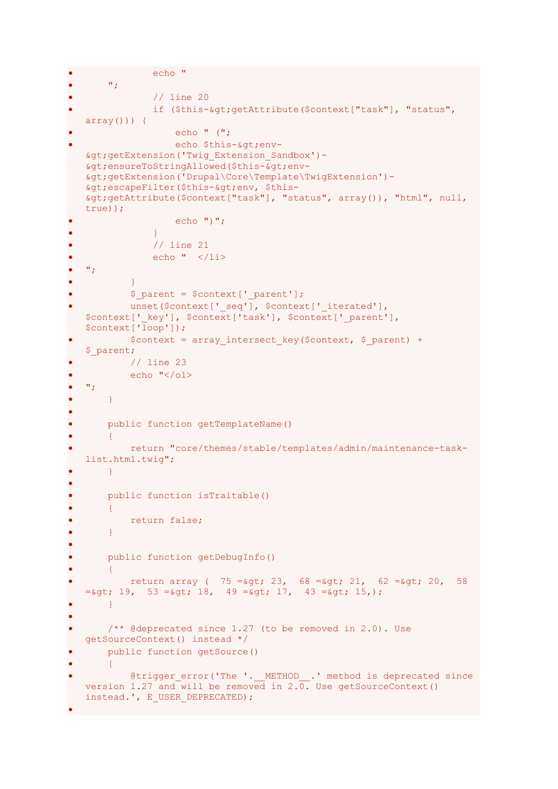```
• echo "
        \mathbf{w}_{\mathbf{z}}• // line 20
                  if ($this-> getAttribute($context["task"], "status",
   array()) {
                      • echo " (";
                      echo $this-&qt;env-
   >getExtension('Twig_Extension_Sandbox')-
   > ; ensureToStringAllowed($this->env-
   >getExtension('Drupal\Core\Template\TwigExtension')-
   > escapeFilter($this-> env, $this-
   >getAttribute($context["task"], "status", array()), "html", null, 
   true));
                     echo ")";
\bullet \bullet \bullet \bullet \bullet \bullet \bullet \bullet// line 21
                  echo " \langle/li>
\bullet \bullet ";
\bullet \qquad \qquad \}$ parent = $context[' parent'];
             unset($context[' seq'], $context[' iterated'],
   $context[' key'], $context['task'], $context[' parent'],
   $context['loop']);
             $context = array intersect key($context, $ parent) +
   $_parent;
            • // line 23
\bullet echo \sqrt{(01)}\bullet \bullet \bullet \bullet \bullet• }
•
        public function getTemplateName()
        \left| \cdot \right|• return "core/themes/stable/templates/admin/maintenance-task-
   list.html.twig";
       • }
•
        • public function isTraitable()
        \{• return false;
\bullet \}•
        • public function getDebugInfo()
\bullet \qquad \qquad \{return array ( 75 = \sqrt{64}; 23, 68 = \sqrt{64}; 21, 62 = \sqrt{64}; 20, 58
   =\sqrt{53} = \sqrt{53} = \sqrt{51}, 18, 49 =\sqrt{51}, 17, 43 =\sqrt{51}, 15,);
\bullet }
•
        /** @deprecated since 1.27 (to be removed in 2.0). Use
   getSourceContext() instead */
        • public function getSource()
\bullet \qquad \{@trigger error('The '. METHOD .' method is deprecated since
   version 1.27 and will be removed in 2.\overline{0}. Use getSourceContext()
   instead.', E_USER_DEPRECATED);
•
```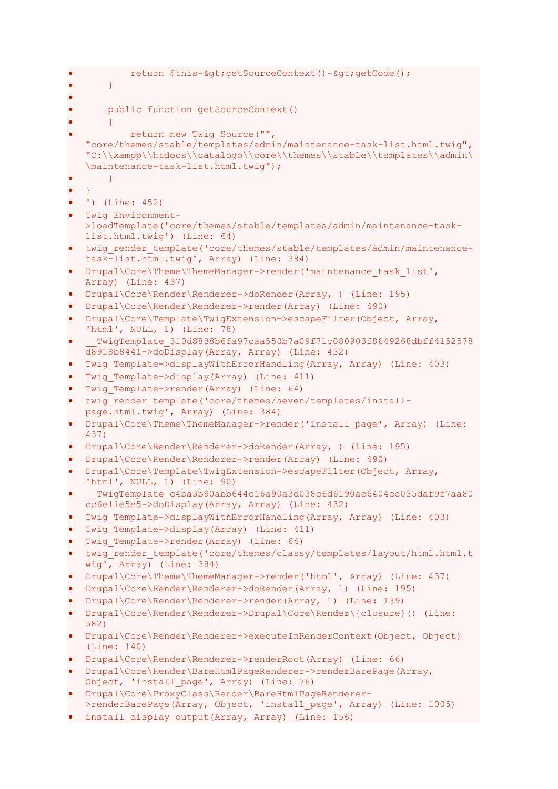```
return $this->getSourceContext()->getCode();
\bullet \bullet \bullet \bullet \bullet•
       • public function getSourceContext()
\bullet \qquad \qquad \{return new Twig Source("",
   "core/themes/stable/templates/admin/maintenance-task-list.html.twig", 
   "C:\\xampp\\htdocs\\catalogo\\core\\themes\\stable\\templates\\admin\
   \maintenance-task-list.html.twig");
\bullet \}\bullet }
• ') (Line: 452)
  • Twig_Environment-
   >loadTemplate('core/themes/stable/templates/admin/maintenance-task-
   list.html.twig') (Line: 64)
  twig render template('core/themes/stable/templates/admin/maintenance-
   task-list.html.twig', Array) (Line: 384)
 • Drupal\Core\Theme\ThemeManager->render('maintenance_task_list', 
  Array) (Line: 437)
 • Drupal\Core\Render\Renderer->doRender(Array, ) (Line: 195)
• Drupal\Core\Render\Renderer->render(Array) (Line: 490)
  • Drupal\Core\Template\TwigExtension->escapeFilter(Object, Array, 
   'html', NULL, 1) (Line: 78)
    • __TwigTemplate_310d8838b6fa97caa550b7a09f71c080903f8649268dbff4152578
   d8918b8441->doDisplay(Array, Array) (Line: 432)
  Twig Template->displayWithErrorHandling(Array, Array) (Line: 403)
  Twig Template->display(Array) (Line: 411)
  Twig Template->render(Array) (Line: 64)
  twig render template('core/themes/seven/templates/install-
   page.html.twig', Array) (Line: 384)
 • Drupal\Core\Theme\ThemeManager->render('install_page', Array) (Line: 
   437)
  • Drupal\Core\Render\Renderer->doRender(Array, ) (Line: 195)
  • Drupal\Core\Render\Renderer->render(Array) (Line: 490)
  • Drupal\Core\Template\TwigExtension->escapeFilter(Object, Array, 
   'html', NULL, 1) (Line: 90)
    TwigTemplate_c4ba3b90abb644c16a90a3d038c6d6190ac6404cc035daf9f7aa80
   cc6e11e5e5->doDisplay(Array, Array) (Line: 432)
  Twig Template->displayWithErrorHandling(Array, Array) (Line: 403)
  Twig Template->display(Array) (Line: 411)
  Twig Template->render(Array) (Line: 64)
  twig render template('core/themes/classy/templates/layout/html.html.t
   wig', Array) (Line: 384)
  • Drupal\Core\Theme\ThemeManager->render('html', Array) (Line: 437)
  • Drupal\Core\Render\Renderer->doRender(Array, 1) (Line: 195)
  • Drupal\Core\Render\Renderer->render(Array, 1) (Line: 139)
  • Drupal\Core\Render\Renderer->Drupal\Core\Render\{closure}() (Line: 
   582)
 • Drupal\Core\Render\Renderer->executeInRenderContext(Object, Object) 
   (Line: 140)
 • Drupal\Core\Render\Renderer->renderRoot(Array) (Line: 66)
 • Drupal\Core\Render\BareHtmlPageRenderer->renderBarePage(Array, 
  Object, 'install_page', Array) (Line: 76)
• Drupal\Core\ProxyClass\Render\BareHtmlPageRenderer-
   >renderBarePage(Array, Object, 'install_page', Array) (Line: 1005)
• install display output(Array, Array) (Line: 156)
```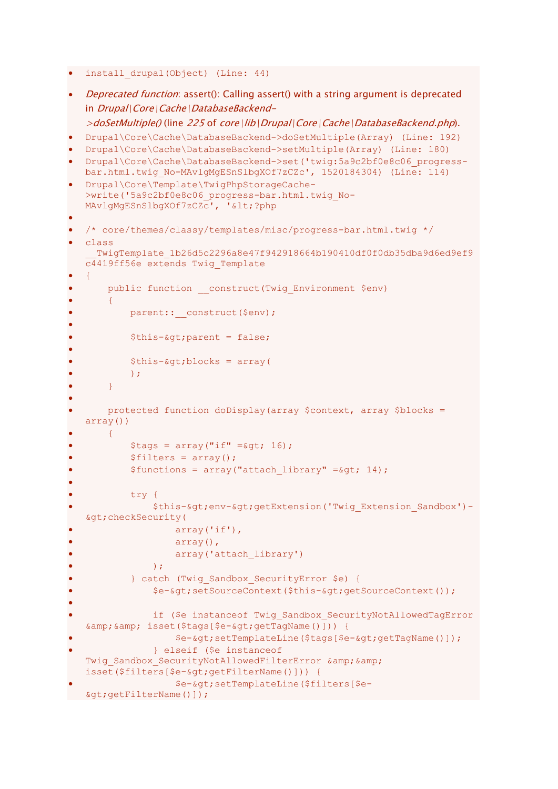```
install drupal(Object) (Line: 44)
```

```
Deprecated function: assert(): Calling assert() with a string argument is deprecated
   in Drupal\Core\Cache\DatabaseBackend-
   >doSetMultiple() (line 225 of core\lib\Drupal\Core\Cache\DatabaseBackend.php).
  • Drupal\Core\Cache\DatabaseBackend->doSetMultiple(Array) (Line: 192)
  • Drupal\Core\Cache\DatabaseBackend->setMultiple(Array) (Line: 180)
  • Drupal\Core\Cache\DatabaseBackend->set('twig:5a9c2bf0e8c06_progress-
  bar.html.twig_No-MAvlgMgESnSlbgXOf7zCZc', 1520184304) (Line: 114)
  • Drupal\Core\Template\TwigPhpStorageCache-
  >write('5a9c2bf0e8c06_progress-bar.html.twig_No-
  MAvlgMgESnSlbgXOf7zCZc', '<?php
•
• /* core/themes/classy/templates/misc/progress-bar.html.twig */
  • class 
     TwigTemplate 1b26d5c2296a8e47f942918664b190410df0f0db35dba9d6ed9ef9
  c4419ff56e extends Twig_Template
• {
      public function    construct(Twig Environment $env)
       \left| \cdot \right|parent:: construct($env);
•
           $this->parent = false;•
           $this-> blocks = array(\rightarrow ;
       • }
•
      • protected function doDisplay(array $context, array $blocks = 
  array())
      • {
           $tags = array("if" = $gt; 16);$filters = array();$functions = array("attack library" = $qt; 14);•
           try {
               $this->env->getExtension('Twig_Extension_Sandbox')-
   \>; checkSecurity(
                   • array('if'),
                   array(),
                   array('attach library')
\bullet );
           • } catch (Twig_Sandbox_SecurityError $e) {
               • $e->setSourceContext($this->getSourceContext());
•
               if ($e instanceof Twiq Sandbox SecurityNotAllowedTagError
   && isset($tags[$e->getTagName()])) {
                   • $e->setTemplateLine($tags[$e->getTagName()]);
               • } elseif ($e instanceof 
   Twig Sandbox SecurityNotAllowedFilterError & &
   isset($filters[$e->getFilterName()])) {
                   • $e->setTemplateLine($filters[$e-
   >getFilterName()]);
```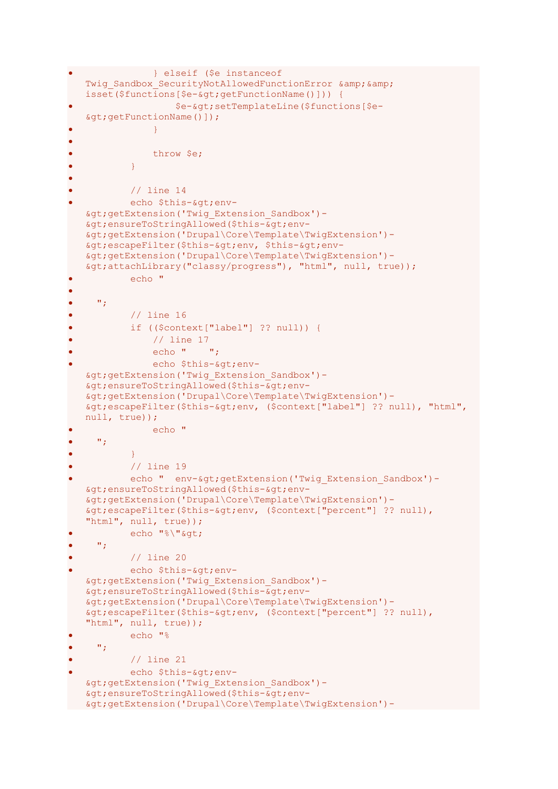```
• } elseif ($e instanceof 
   Twig Sandbox SecurityNotAllowedFunctionError & &
   isset($functions[$e-&qt;qetFunctionName()])) {
                    • $e->setTemplateLine($functions[$e-
   >getFunctionName()]);
\bullet \bullet \bullet \bullet \bullet \bullet \bullet \bullet•
               • throw $e;
\bullet \qquad \qquad \}•
           // line 14
           echo $this-> env-
   >getExtension('Twig_Extension_Sandbox')-
   >ensureToStringAllowed($this->env-
   >getExtension('Drupal\Core\Template\TwigExtension')-
   \&qt; escapeFilter($this-&qt; env, $this-&qt; env-
   >getExtension('Drupal\Core\Template\TwigExtension')-
   >attachLibrary("classy/progress"), "html", null, true));
           echo "
•
     ^{\mathrm{w}} ;
           • // line 16
           • if (($context["label"] ?? null)) {
               • // line 17
               echo " ";
               echo $this->env-
   >getExtension('Twig_Extension_Sandbox')-
   >ensureToStringAllowed($this->env-
   >getExtension('Drupal\Core\Template\TwigExtension')-
   >escapeFilter($this->env, ($context["label"] ?? null), "html", 
   null, true));
               echo "
     \mathbf{w}_{\mathcal{X}}\bullet \qquad \qquad \}• // line 19
           echo " env-&qt; qetExtension ('Twig Extension Sandbox')-
   >ensureToStringAllowed($this->env-
   >getExtension('Drupal\Core\Template\TwigExtension')-
   > ; escapeFilter($this-> env, ($context["percent"] ?? null),
   "html", null, true));
           echo "%\"&qt;
    \mathbf{w}_{\mathbf{y}}• // line 20
           echo $this-> env-
   >getExtension('Twig_Extension_Sandbox')-
   >ensureToStringAllowed($this->env-
   >getExtension('Drupal\Core\Template\TwigExtension')-
   \&qt; escapeFilter($this-\&qt; env, ($context["percent"] ?? null),
   "html", null, true));
           echo "%
    • ";
           • // line 21
           echo $this->env-
   >getExtension('Twig_Extension_Sandbox')-
   >ensureToStringAllowed($this->env-
   >getExtension('Drupal\Core\Template\TwigExtension')-
```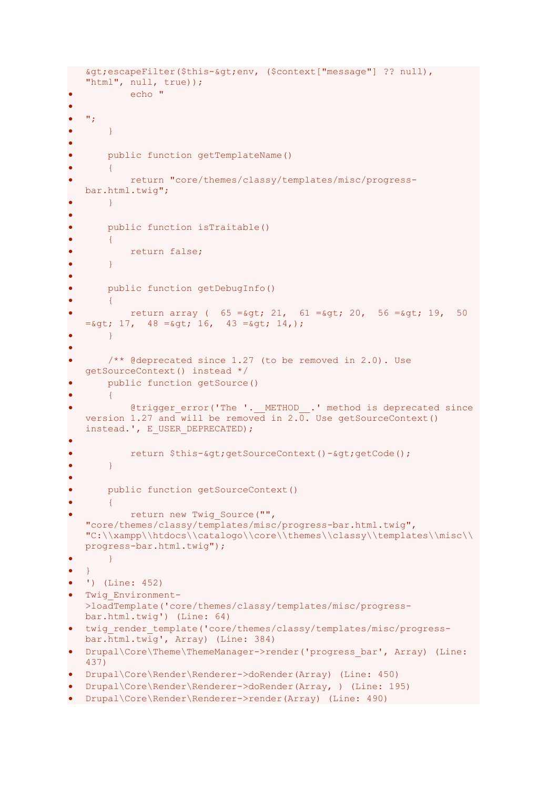```
>escapeFilter($this->env, ($context["message"] ?? null), 
   "html", null, true));
           • echo "
•
\bullet \bullet ";
\bullet \qquad \}•
       public function getTemplateName()
\bullet \qquad \qquad \{• return "core/themes/classy/templates/misc/progress-
   bar.html.twig";
       • }
•
• public function isTraitable()
       \mathcal{F}return false;
       • }
•
       • public function getDebugInfo()
       \left| \right|return array ( 65 = \sqrt{521}, 61 = \sqrt{52}, 20, 56 = \sqrt{52}, 19, 50= \sqrt{48} = \sqrt{48} = \sqrt{41}, \sqrt{43} = \sqrt{41}, \sqrt{41}• }
•
       /** @deprecated since 1.27 (to be removed in 2.0). Use
   getSourceContext() instead */
       public function getSource()
       • {
            @trigger error('The '. METHOD .' method is deprecated since
   version 1.27 and will be removed in 2.\overline{0}. Use getSourceContext()
   instead.', E_USER_DEPRECATED);
•
           return $this->getSourceContext()->getCode();
       • }
•
       • public function getSourceContext()
       \uparrowreturn new Twig Source("",
   "core/themes/classy/templates/misc/progress-bar.html.twig", 
   "C:\\xampp\\htdocs\\catalogo\\core\\themes\\classy\\templates\\misc\\
   progress-bar.html.twig");
       • }
  • }
• ') (Line: 452)
  • Twig_Environment-
   >loadTemplate('core/themes/classy/templates/misc/progress-
   bar.html.twig') (Line: 64)
 twig render template('core/themes/classy/templates/misc/progress-
   bar.html.twig', Array) (Line: 384)
• Drupal\Core\Theme\ThemeManager->render('progress bar', Array) (Line:
   437)
• Drupal\Core\Render\Renderer->doRender(Array) (Line: 450)
• Drupal\Core\Render\Renderer->doRender(Array, ) (Line: 195)
• Drupal\Core\Render\Renderer->render(Array) (Line: 490)
```